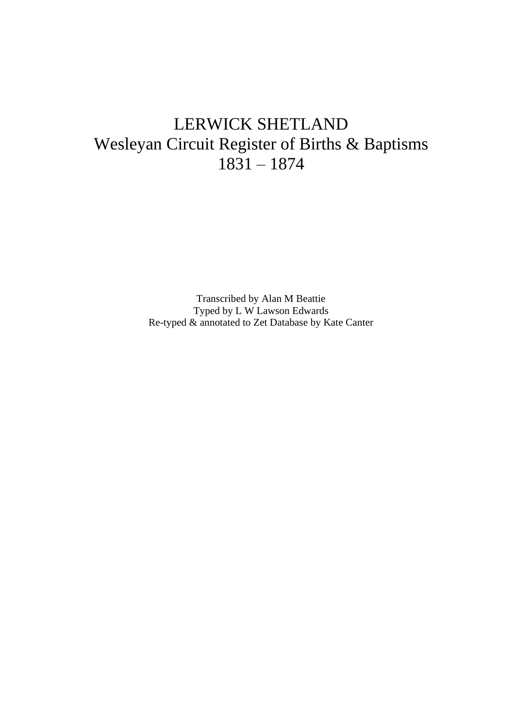## LERWICK SHETLAND Wesleyan Circuit Register of Births & Baptisms 1831 – 1874

Transcribed by Alan M Beattie Typed by L W Lawson Edwards Re-typed & annotated to Zet Database by Kate Canter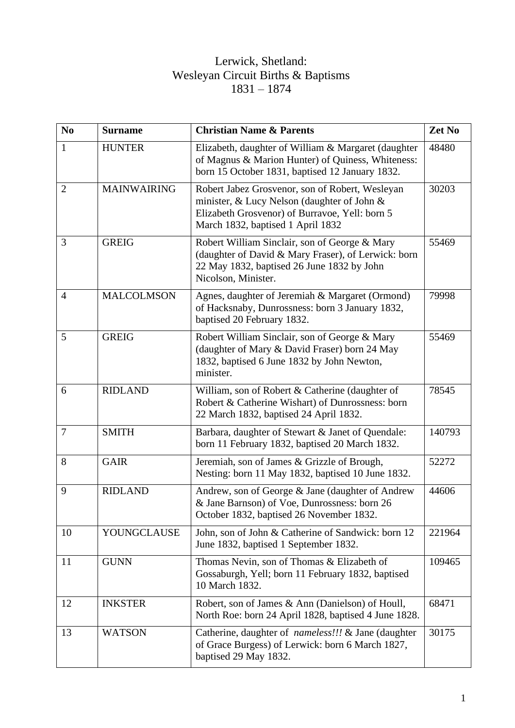## Lerwick, Shetland: Wesleyan Circuit Births & Baptisms 1831 – 1874

| N <sub>0</sub> | <b>Surname</b>     | <b>Christian Name &amp; Parents</b>                                                                                                                                                   | Zet No |
|----------------|--------------------|---------------------------------------------------------------------------------------------------------------------------------------------------------------------------------------|--------|
| 1              | <b>HUNTER</b>      | Elizabeth, daughter of William & Margaret (daughter<br>of Magnus & Marion Hunter) of Quiness, Whiteness:<br>born 15 October 1831, baptised 12 January 1832.                           | 48480  |
| 2              | <b>MAINWAIRING</b> | Robert Jabez Grosvenor, son of Robert, Wesleyan<br>minister, & Lucy Nelson (daughter of John &<br>Elizabeth Grosvenor) of Burravoe, Yell: born 5<br>March 1832, baptised 1 April 1832 | 30203  |
| 3              | <b>GREIG</b>       | Robert William Sinclair, son of George & Mary<br>(daughter of David & Mary Fraser), of Lerwick: born<br>22 May 1832, baptised 26 June 1832 by John<br>Nicolson, Minister.             | 55469  |
| $\overline{4}$ | <b>MALCOLMSON</b>  | Agnes, daughter of Jeremiah & Margaret (Ormond)<br>of Hacksnaby, Dunrossness: born 3 January 1832,<br>baptised 20 February 1832.                                                      | 79998  |
| 5              | <b>GREIG</b>       | Robert William Sinclair, son of George & Mary<br>(daughter of Mary & David Fraser) born 24 May<br>1832, baptised 6 June 1832 by John Newton,<br>minister.                             | 55469  |
| 6              | <b>RIDLAND</b>     | William, son of Robert & Catherine (daughter of<br>Robert & Catherine Wishart) of Dunrossness: born<br>22 March 1832, baptised 24 April 1832.                                         | 78545  |
| $\overline{7}$ | <b>SMITH</b>       | Barbara, daughter of Stewart & Janet of Quendale:<br>born 11 February 1832, baptised 20 March 1832.                                                                                   | 140793 |
| 8              | <b>GAIR</b>        | Jeremiah, son of James & Grizzle of Brough,<br>Nesting: born 11 May 1832, baptised 10 June 1832.                                                                                      | 52272  |
| 9              | <b>RIDLAND</b>     | Andrew, son of George & Jane (daughter of Andrew<br>& Jane Barnson) of Voe, Dunrossness: born 26<br>October 1832, baptised 26 November 1832.                                          | 44606  |
| 10             | YOUNGCLAUSE        | John, son of John & Catherine of Sandwick: born 12<br>June 1832, baptised 1 September 1832.                                                                                           | 221964 |
| 11             | <b>GUNN</b>        | Thomas Nevin, son of Thomas & Elizabeth of<br>Gossaburgh, Yell; born 11 February 1832, baptised<br>10 March 1832.                                                                     | 109465 |
| 12             | <b>INKSTER</b>     | Robert, son of James & Ann (Danielson) of Houll,<br>North Roe: born 24 April 1828, baptised 4 June 1828.                                                                              | 68471  |
| 13             | <b>WATSON</b>      | Catherine, daughter of nameless!!! & Jane (daughter<br>of Grace Burgess) of Lerwick: born 6 March 1827,<br>baptised 29 May 1832.                                                      | 30175  |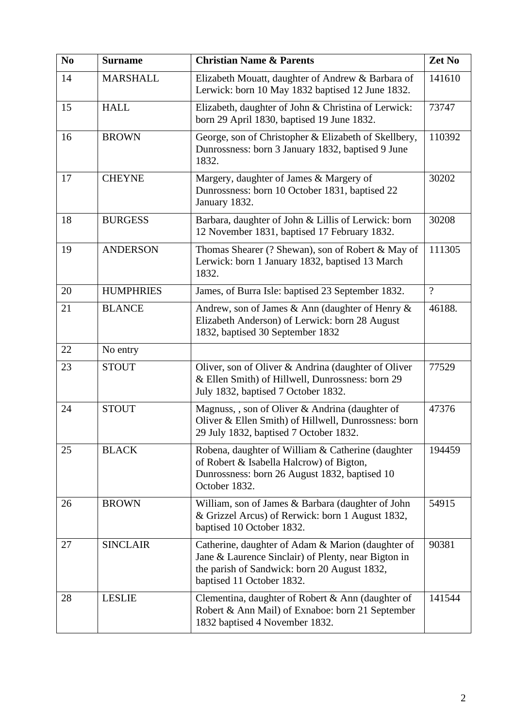| N <sub>0</sub> | <b>Surname</b>   | <b>Christian Name &amp; Parents</b>                                                                                                                                                   | Zet No         |
|----------------|------------------|---------------------------------------------------------------------------------------------------------------------------------------------------------------------------------------|----------------|
| 14             | <b>MARSHALL</b>  | Elizabeth Mouatt, daughter of Andrew & Barbara of<br>Lerwick: born 10 May 1832 baptised 12 June 1832.                                                                                 | 141610         |
| 15             | <b>HALL</b>      | Elizabeth, daughter of John & Christina of Lerwick:<br>born 29 April 1830, baptised 19 June 1832.                                                                                     | 73747          |
| 16             | <b>BROWN</b>     | George, son of Christopher & Elizabeth of Skellbery,<br>Dunrossness: born 3 January 1832, baptised 9 June<br>1832.                                                                    | 110392         |
| 17             | <b>CHEYNE</b>    | Margery, daughter of James & Margery of<br>Dunrossness: born 10 October 1831, baptised 22<br>January 1832.                                                                            | 30202          |
| 18             | <b>BURGESS</b>   | Barbara, daughter of John & Lillis of Lerwick: born<br>12 November 1831, baptised 17 February 1832.                                                                                   | 30208          |
| 19             | <b>ANDERSON</b>  | Thomas Shearer (? Shewan), son of Robert & May of<br>Lerwick: born 1 January 1832, baptised 13 March<br>1832.                                                                         | 111305         |
| 20             | <b>HUMPHRIES</b> | James, of Burra Isle: baptised 23 September 1832.                                                                                                                                     | $\overline{?}$ |
| 21             | <b>BLANCE</b>    | Andrew, son of James & Ann (daughter of Henry &<br>Elizabeth Anderson) of Lerwick: born 28 August<br>1832, baptised 30 September 1832                                                 | 46188.         |
| 22             | No entry         |                                                                                                                                                                                       |                |
| 23             | <b>STOUT</b>     | Oliver, son of Oliver & Andrina (daughter of Oliver<br>& Ellen Smith) of Hillwell, Dunrossness: born 29<br>July 1832, baptised 7 October 1832.                                        | 77529          |
| 24             | <b>STOUT</b>     | Magnuss, , son of Oliver & Andrina (daughter of<br>Oliver & Ellen Smith) of Hillwell, Dunrossness: born<br>29 July 1832, baptised 7 October 1832.                                     | 47376          |
| 25             | <b>BLACK</b>     | Robena, daughter of William & Catherine (daughter<br>of Robert & Isabella Halcrow) of Bigton,<br>Dunrossness: born 26 August 1832, baptised 10<br>October 1832.                       | 194459         |
| 26             | <b>BROWN</b>     | William, son of James & Barbara (daughter of John<br>& Grizzel Arcus) of Rerwick: born 1 August 1832,<br>baptised 10 October 1832.                                                    | 54915          |
| 27             | <b>SINCLAIR</b>  | Catherine, daughter of Adam & Marion (daughter of<br>Jane & Laurence Sinclair) of Plenty, near Bigton in<br>the parish of Sandwick: born 20 August 1832,<br>baptised 11 October 1832. | 90381          |
| 28             | <b>LESLIE</b>    | Clementina, daughter of Robert & Ann (daughter of<br>Robert & Ann Mail) of Exnaboe: born 21 September<br>1832 baptised 4 November 1832.                                               | 141544         |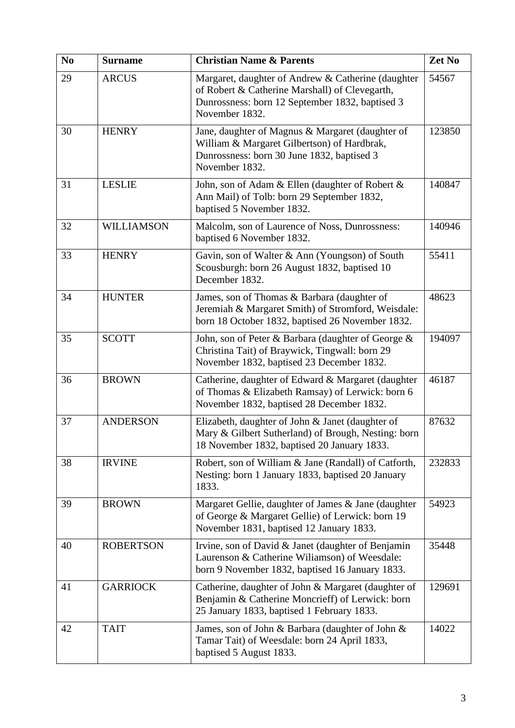| N <sub>0</sub> | <b>Surname</b>    | <b>Christian Name &amp; Parents</b>                                                                                                                                       | Zet No |
|----------------|-------------------|---------------------------------------------------------------------------------------------------------------------------------------------------------------------------|--------|
| 29             | <b>ARCUS</b>      | Margaret, daughter of Andrew & Catherine (daughter<br>of Robert & Catherine Marshall) of Clevegarth,<br>Dunrossness: born 12 September 1832, baptised 3<br>November 1832. | 54567  |
| 30             | <b>HENRY</b>      | Jane, daughter of Magnus & Margaret (daughter of<br>William & Margaret Gilbertson) of Hardbrak,<br>Dunrossness: born 30 June 1832, baptised 3<br>November 1832.           | 123850 |
| 31             | <b>LESLIE</b>     | John, son of Adam & Ellen (daughter of Robert &<br>Ann Mail) of Tolb: born 29 September 1832,<br>baptised 5 November 1832.                                                | 140847 |
| 32             | <b>WILLIAMSON</b> | Malcolm, son of Laurence of Noss, Dunrossness:<br>baptised 6 November 1832.                                                                                               | 140946 |
| 33             | <b>HENRY</b>      | Gavin, son of Walter & Ann (Youngson) of South<br>Scousburgh: born 26 August 1832, baptised 10<br>December 1832.                                                          | 55411  |
| 34             | <b>HUNTER</b>     | James, son of Thomas & Barbara (daughter of<br>Jeremiah & Margaret Smith) of Stromford, Weisdale:<br>born 18 October 1832, baptised 26 November 1832.                     | 48623  |
| 35             | <b>SCOTT</b>      | John, son of Peter & Barbara (daughter of George &<br>Christina Tait) of Braywick, Tingwall: born 29<br>November 1832, baptised 23 December 1832.                         | 194097 |
| 36             | <b>BROWN</b>      | Catherine, daughter of Edward & Margaret (daughter<br>of Thomas & Elizabeth Ramsay) of Lerwick: born 6<br>November 1832, baptised 28 December 1832.                       | 46187  |
| 37             | <b>ANDERSON</b>   | Elizabeth, daughter of John & Janet (daughter of<br>Mary & Gilbert Sutherland) of Brough, Nesting: born<br>18 November 1832, baptised 20 January 1833.                    | 87632  |
| 38             | <b>IRVINE</b>     | Robert, son of William & Jane (Randall) of Catforth,<br>Nesting: born 1 January 1833, baptised 20 January<br>1833.                                                        | 232833 |
| 39             | <b>BROWN</b>      | Margaret Gellie, daughter of James & Jane (daughter<br>of George & Margaret Gellie) of Lerwick: born 19<br>November 1831, baptised 12 January 1833.                       | 54923  |
| 40             | <b>ROBERTSON</b>  | Irvine, son of David & Janet (daughter of Benjamin<br>Laurenson & Catherine Williamson) of Weesdale:<br>born 9 November 1832, baptised 16 January 1833.                   | 35448  |
| 41             | <b>GARRIOCK</b>   | Catherine, daughter of John & Margaret (daughter of<br>Benjamin & Catherine Moncrieff) of Lerwick: born<br>25 January 1833, baptised 1 February 1833.                     | 129691 |
| 42             | <b>TAIT</b>       | James, son of John & Barbara (daughter of John &<br>Tamar Tait) of Weesdale: born 24 April 1833,<br>baptised 5 August 1833.                                               | 14022  |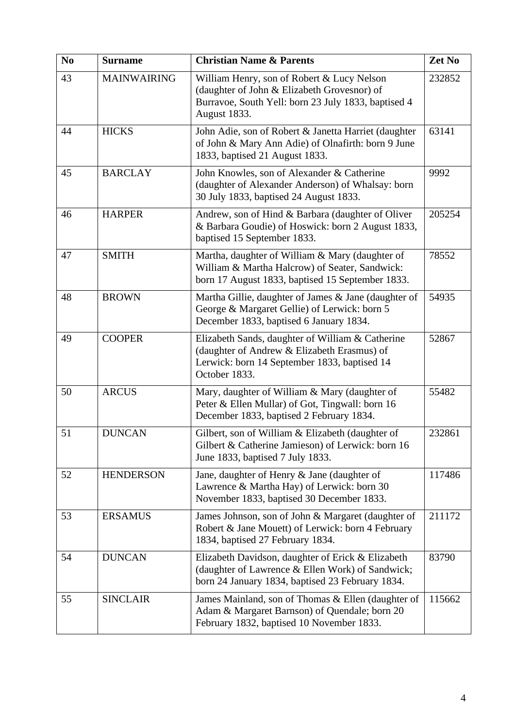| N <sub>0</sub> | <b>Surname</b>     | <b>Christian Name &amp; Parents</b>                                                                                                                              | Zet No |
|----------------|--------------------|------------------------------------------------------------------------------------------------------------------------------------------------------------------|--------|
| 43             | <b>MAINWAIRING</b> | William Henry, son of Robert & Lucy Nelson<br>(daughter of John & Elizabeth Grovesnor) of<br>Burravoe, South Yell: born 23 July 1833, baptised 4<br>August 1833. | 232852 |
| 44             | <b>HICKS</b>       | John Adie, son of Robert & Janetta Harriet (daughter<br>of John & Mary Ann Adie) of Olnafirth: born 9 June<br>1833, baptised 21 August 1833.                     | 63141  |
| 45             | <b>BARCLAY</b>     | John Knowles, son of Alexander & Catherine<br>(daughter of Alexander Anderson) of Whalsay: born<br>30 July 1833, baptised 24 August 1833.                        | 9992   |
| 46             | <b>HARPER</b>      | Andrew, son of Hind & Barbara (daughter of Oliver<br>& Barbara Goudie) of Hoswick: born 2 August 1833,<br>baptised 15 September 1833.                            | 205254 |
| 47             | <b>SMITH</b>       | Martha, daughter of William & Mary (daughter of<br>William & Martha Halcrow) of Seater, Sandwick:<br>born 17 August 1833, baptised 15 September 1833.            | 78552  |
| 48             | <b>BROWN</b>       | Martha Gillie, daughter of James & Jane (daughter of<br>George & Margaret Gellie) of Lerwick: born 5<br>December 1833, baptised 6 January 1834.                  | 54935  |
| 49             | <b>COOPER</b>      | Elizabeth Sands, daughter of William & Catherine<br>(daughter of Andrew & Elizabeth Erasmus) of<br>Lerwick: born 14 September 1833, baptised 14<br>October 1833. | 52867  |
| 50             | <b>ARCUS</b>       | Mary, daughter of William & Mary (daughter of<br>Peter & Ellen Mullar) of Got, Tingwall: born 16<br>December 1833, baptised 2 February 1834.                     | 55482  |
| 51             | <b>DUNCAN</b>      | Gilbert, son of William & Elizabeth (daughter of<br>Gilbert & Catherine Jamieson) of Lerwick: born 16<br>June 1833, baptised 7 July 1833.                        | 232861 |
| 52             | <b>HENDERSON</b>   | Jane, daughter of Henry & Jane (daughter of<br>Lawrence & Martha Hay) of Lerwick: born 30<br>November 1833, baptised 30 December 1833.                           | 117486 |
| 53             | <b>ERSAMUS</b>     | James Johnson, son of John & Margaret (daughter of<br>Robert & Jane Mouett) of Lerwick: born 4 February<br>1834, baptised 27 February 1834.                      | 211172 |
| 54             | <b>DUNCAN</b>      | Elizabeth Davidson, daughter of Erick & Elizabeth<br>(daughter of Lawrence & Ellen Work) of Sandwick;<br>born 24 January 1834, baptised 23 February 1834.        | 83790  |
| 55             | <b>SINCLAIR</b>    | James Mainland, son of Thomas & Ellen (daughter of<br>Adam & Margaret Barnson) of Quendale; born 20<br>February 1832, baptised 10 November 1833.                 | 115662 |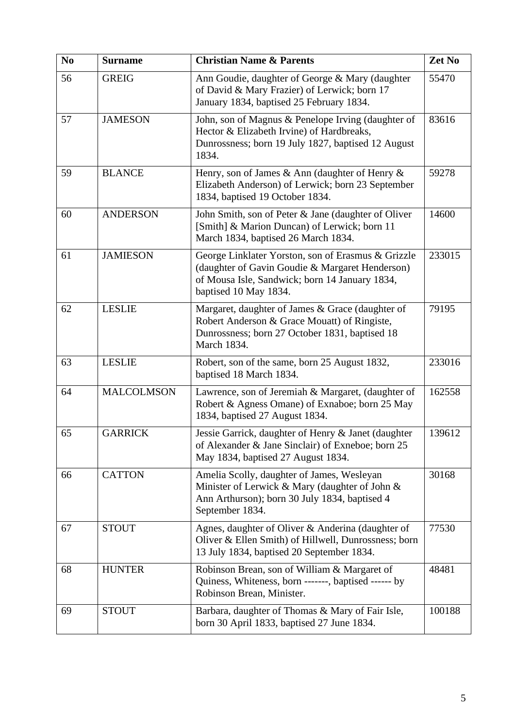| N <sub>0</sub> | <b>Surname</b>    | <b>Christian Name &amp; Parents</b>                                                                                                                                              | Zet No |
|----------------|-------------------|----------------------------------------------------------------------------------------------------------------------------------------------------------------------------------|--------|
| 56             | <b>GREIG</b>      | Ann Goudie, daughter of George & Mary (daughter<br>of David & Mary Frazier) of Lerwick; born 17<br>January 1834, baptised 25 February 1834.                                      | 55470  |
| 57             | <b>JAMESON</b>    | John, son of Magnus & Penelope Irving (daughter of<br>Hector & Elizabeth Irvine) of Hardbreaks,<br>Dunrossness; born 19 July 1827, baptised 12 August<br>1834.                   | 83616  |
| 59             | <b>BLANCE</b>     | Henry, son of James & Ann (daughter of Henry $\&$<br>Elizabeth Anderson) of Lerwick; born 23 September<br>1834, baptised 19 October 1834.                                        | 59278  |
| 60             | <b>ANDERSON</b>   | John Smith, son of Peter & Jane (daughter of Oliver<br>[Smith] & Marion Duncan) of Lerwick; born 11<br>March 1834, baptised 26 March 1834.                                       | 14600  |
| 61             | <b>JAMIESON</b>   | George Linklater Yorston, son of Erasmus & Grizzle<br>(daughter of Gavin Goudie & Margaret Henderson)<br>of Mousa Isle, Sandwick; born 14 January 1834,<br>baptised 10 May 1834. | 233015 |
| 62             | <b>LESLIE</b>     | Margaret, daughter of James & Grace (daughter of<br>Robert Anderson & Grace Mouatt) of Ringiste,<br>Dunrossness; born 27 October 1831, baptised 18<br>March 1834.                | 79195  |
| 63             | <b>LESLIE</b>     | Robert, son of the same, born 25 August 1832,<br>baptised 18 March 1834.                                                                                                         | 233016 |
| 64             | <b>MALCOLMSON</b> | Lawrence, son of Jeremiah & Margaret, (daughter of<br>Robert & Agness Omane) of Exnaboe; born 25 May<br>1834, baptised 27 August 1834.                                           | 162558 |
| 65             | <b>GARRICK</b>    | Jessie Garrick, daughter of Henry & Janet (daughter<br>of Alexander & Jane Sinclair) of Exneboe; born 25<br>May 1834, baptised 27 August 1834.                                   | 139612 |
| 66             | <b>CATTON</b>     | Amelia Scolly, daughter of James, Wesleyan<br>Minister of Lerwick & Mary (daughter of John &<br>Ann Arthurson); born 30 July 1834, baptised 4<br>September 1834.                 | 30168  |
| 67             | <b>STOUT</b>      | Agnes, daughter of Oliver & Anderina (daughter of<br>Oliver & Ellen Smith) of Hillwell, Dunrossness; born<br>13 July 1834, baptised 20 September 1834.                           | 77530  |
| 68             | <b>HUNTER</b>     | Robinson Brean, son of William & Margaret of<br>Quiness, Whiteness, born -------, baptised ------ by<br>Robinson Brean, Minister.                                                | 48481  |
| 69             | <b>STOUT</b>      | Barbara, daughter of Thomas & Mary of Fair Isle,<br>born 30 April 1833, baptised 27 June 1834.                                                                                   | 100188 |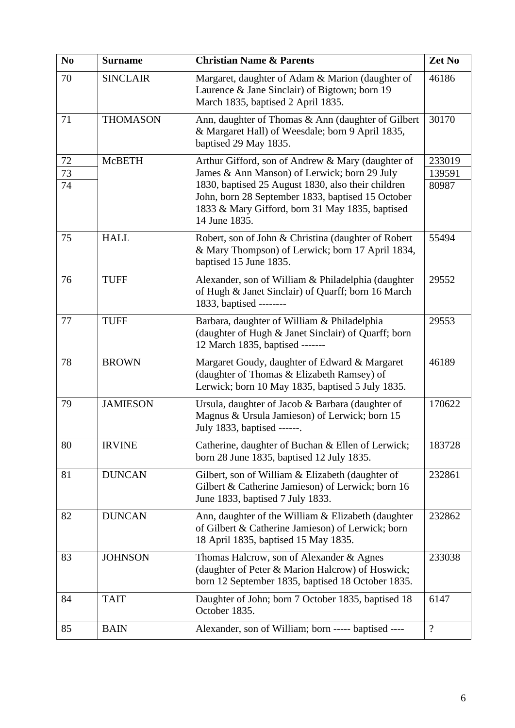| N <sub>0</sub> | <b>Surname</b>  | <b>Christian Name &amp; Parents</b>                                                                                                                                                                                         | Zet No          |
|----------------|-----------------|-----------------------------------------------------------------------------------------------------------------------------------------------------------------------------------------------------------------------------|-----------------|
| 70             | <b>SINCLAIR</b> | Margaret, daughter of Adam & Marion (daughter of<br>Laurence & Jane Sinclair) of Bigtown; born 19<br>March 1835, baptised 2 April 1835.                                                                                     | 46186           |
| 71             | <b>THOMASON</b> | Ann, daughter of Thomas & Ann (daughter of Gilbert<br>& Margaret Hall) of Weesdale; born 9 April 1835,<br>baptised 29 May 1835.                                                                                             | 30170           |
| $72\,$         | <b>McBETH</b>   | Arthur Gifford, son of Andrew & Mary (daughter of                                                                                                                                                                           | 233019          |
| 73<br>74       |                 | James & Ann Manson) of Lerwick; born 29 July<br>1830, baptised 25 August 1830, also their children<br>John, born 28 September 1833, baptised 15 October<br>1833 & Mary Gifford, born 31 May 1835, baptised<br>14 June 1835. | 139591<br>80987 |
| 75             | <b>HALL</b>     | Robert, son of John & Christina (daughter of Robert<br>& Mary Thompson) of Lerwick; born 17 April 1834,<br>baptised 15 June 1835.                                                                                           | 55494           |
| 76             | <b>TUFF</b>     | Alexander, son of William & Philadelphia (daughter<br>of Hugh & Janet Sinclair) of Quarff; born 16 March<br>1833, baptised --------                                                                                         | 29552           |
| 77             | <b>TUFF</b>     | Barbara, daughter of William & Philadelphia<br>(daughter of Hugh & Janet Sinclair) of Quarff; born<br>12 March 1835, baptised -------                                                                                       | 29553           |
| 78             | <b>BROWN</b>    | Margaret Goudy, daughter of Edward & Margaret<br>(daughter of Thomas & Elizabeth Ramsey) of<br>Lerwick; born 10 May 1835, baptised 5 July 1835.                                                                             | 46189           |
| 79             | <b>JAMIESON</b> | Ursula, daughter of Jacob & Barbara (daughter of<br>Magnus & Ursula Jamieson) of Lerwick; born 15<br>July 1833, baptised ------.                                                                                            | 170622          |
| 80             | <b>IRVINE</b>   | Catherine, daughter of Buchan & Ellen of Lerwick;<br>born 28 June 1835, baptised 12 July 1835.                                                                                                                              | 183728          |
| 81             | <b>DUNCAN</b>   | Gilbert, son of William & Elizabeth (daughter of<br>Gilbert & Catherine Jamieson) of Lerwick; born 16<br>June 1833, baptised 7 July 1833.                                                                                   | 232861          |
| 82             | <b>DUNCAN</b>   | Ann, daughter of the William & Elizabeth (daughter<br>of Gilbert & Catherine Jamieson) of Lerwick; born<br>18 April 1835, baptised 15 May 1835.                                                                             | 232862          |
| 83             | <b>JOHNSON</b>  | Thomas Halcrow, son of Alexander & Agnes<br>(daughter of Peter & Marion Halcrow) of Hoswick;<br>born 12 September 1835, baptised 18 October 1835.                                                                           | 233038          |
| 84             | <b>TAIT</b>     | Daughter of John; born 7 October 1835, baptised 18<br>October 1835.                                                                                                                                                         | 6147            |
| 85             | <b>BAIN</b>     | Alexander, son of William; born ----- baptised ----                                                                                                                                                                         | $\overline{?}$  |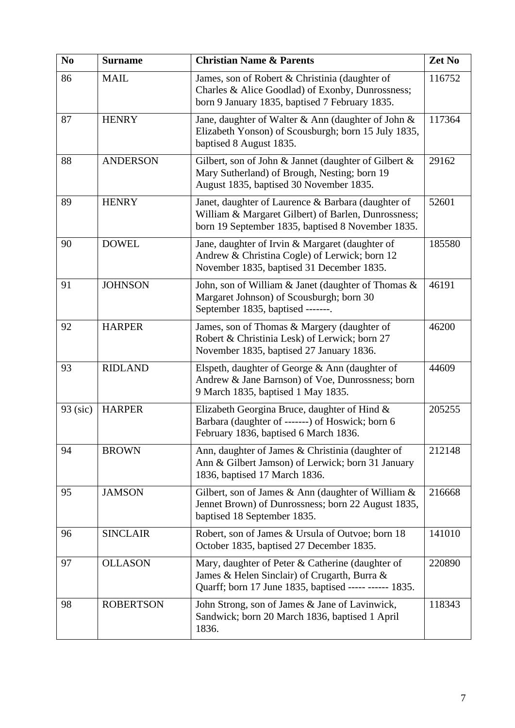| N <sub>0</sub> | <b>Surname</b>   | <b>Christian Name &amp; Parents</b>                                                                                                                            | Zet No |
|----------------|------------------|----------------------------------------------------------------------------------------------------------------------------------------------------------------|--------|
| 86             | <b>MAIL</b>      | James, son of Robert & Christinia (daughter of<br>Charles & Alice Goodlad) of Exonby, Dunrossness;<br>born 9 January 1835, baptised 7 February 1835.           | 116752 |
| 87             | <b>HENRY</b>     | Jane, daughter of Walter & Ann (daughter of John &<br>Elizabeth Yonson) of Scousburgh; born 15 July 1835,<br>baptised 8 August 1835.                           | 117364 |
| 88             | <b>ANDERSON</b>  | Gilbert, son of John & Jannet (daughter of Gilbert $\&$<br>Mary Sutherland) of Brough, Nesting; born 19<br>August 1835, baptised 30 November 1835.             | 29162  |
| 89             | <b>HENRY</b>     | Janet, daughter of Laurence & Barbara (daughter of<br>William & Margaret Gilbert) of Barlen, Dunrossness;<br>born 19 September 1835, baptised 8 November 1835. | 52601  |
| 90             | <b>DOWEL</b>     | Jane, daughter of Irvin & Margaret (daughter of<br>Andrew & Christina Cogle) of Lerwick; born 12<br>November 1835, baptised 31 December 1835.                  | 185580 |
| 91             | <b>JOHNSON</b>   | John, son of William & Janet (daughter of Thomas &<br>Margaret Johnson) of Scousburgh; born 30<br>September 1835, baptised -------.                            | 46191  |
| 92             | <b>HARPER</b>    | James, son of Thomas & Margery (daughter of<br>Robert & Christinia Lesk) of Lerwick; born 27<br>November 1835, baptised 27 January 1836.                       | 46200  |
| 93             | <b>RIDLAND</b>   | Elspeth, daughter of George & Ann (daughter of<br>Andrew & Jane Barnson) of Voe, Dunrossness; born<br>9 March 1835, baptised 1 May 1835.                       | 44609  |
| 93 (sic)       | <b>HARPER</b>    | Elizabeth Georgina Bruce, daughter of Hind &<br>Barbara (daughter of -------) of Hoswick; born 6<br>February 1836, baptised 6 March 1836.                      | 205255 |
| 94             | <b>BROWN</b>     | Ann, daughter of James & Christinia (daughter of<br>Ann & Gilbert Jamson) of Lerwick; born 31 January<br>1836, baptised 17 March 1836.                         | 212148 |
| 95             | <b>JAMSON</b>    | Gilbert, son of James & Ann (daughter of William &<br>Jennet Brown) of Dunrossness; born 22 August 1835,<br>baptised 18 September 1835.                        | 216668 |
| 96             | <b>SINCLAIR</b>  | Robert, son of James & Ursula of Outvoe; born 18<br>October 1835, baptised 27 December 1835.                                                                   | 141010 |
| 97             | <b>OLLASON</b>   | Mary, daughter of Peter & Catherine (daughter of<br>James & Helen Sinclair) of Crugarth, Burra &<br>Quarff; born 17 June 1835, baptised ----- ------ 1835.     | 220890 |
| 98             | <b>ROBERTSON</b> | John Strong, son of James & Jane of Lavinwick,<br>Sandwick; born 20 March 1836, baptised 1 April<br>1836.                                                      | 118343 |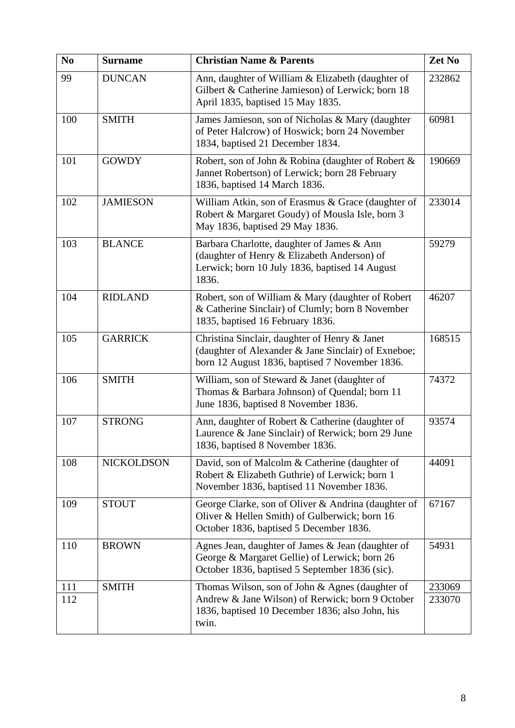| N <sub>0</sub> | <b>Surname</b>  | <b>Christian Name &amp; Parents</b>                                                                                                                    | Zet No |
|----------------|-----------------|--------------------------------------------------------------------------------------------------------------------------------------------------------|--------|
| 99             | <b>DUNCAN</b>   | Ann, daughter of William & Elizabeth (daughter of<br>Gilbert & Catherine Jamieson) of Lerwick; born 18<br>April 1835, baptised 15 May 1835.            | 232862 |
| 100            | <b>SMITH</b>    | James Jamieson, son of Nicholas & Mary (daughter<br>of Peter Halcrow) of Hoswick; born 24 November<br>1834, baptised 21 December 1834.                 | 60981  |
| 101            | <b>GOWDY</b>    | Robert, son of John & Robina (daughter of Robert &<br>Jannet Robertson) of Lerwick; born 28 February<br>1836, baptised 14 March 1836.                  | 190669 |
| 102            | <b>JAMIESON</b> | William Atkin, son of Erasmus & Grace (daughter of<br>Robert & Margaret Goudy) of Mousla Isle, born 3<br>May 1836, baptised 29 May 1836.               | 233014 |
| 103            | <b>BLANCE</b>   | Barbara Charlotte, daughter of James & Ann<br>(daughter of Henry & Elizabeth Anderson) of<br>Lerwick; born 10 July 1836, baptised 14 August<br>1836.   | 59279  |
| 104            | <b>RIDLAND</b>  | Robert, son of William & Mary (daughter of Robert<br>& Catherine Sinclair) of Clumly; born 8 November<br>1835, baptised 16 February 1836.              | 46207  |
| 105            | <b>GARRICK</b>  | Christina Sinclair, daughter of Henry & Janet<br>(daughter of Alexander & Jane Sinclair) of Exneboe;<br>born 12 August 1836, baptised 7 November 1836. | 168515 |
| 106            | <b>SMITH</b>    | William, son of Steward & Janet (daughter of<br>Thomas & Barbara Johnson) of Quendal; born 11<br>June 1836, baptised 8 November 1836.                  | 74372  |
| 107            | <b>STRONG</b>   | Ann, daughter of Robert & Catherine (daughter of<br>Laurence & Jane Sinclair) of Rerwick; born 29 June<br>1836, baptised 8 November 1836.              | 93574  |
| 108            | NICKOLDSON      | David, son of Malcolm & Catherine (daughter of<br>Robert & Elizabeth Guthrie) of Lerwick; born 1<br>November 1836, baptised 11 November 1836.          | 44091  |
| 109            | <b>STOUT</b>    | George Clarke, son of Oliver & Andrina (daughter of<br>Oliver & Hellen Smith) of Gulberwick; born 16<br>October 1836, baptised 5 December 1836.        | 67167  |
| 110            | <b>BROWN</b>    | Agnes Jean, daughter of James & Jean (daughter of<br>George & Margaret Gellie) of Lerwick; born 26<br>October 1836, baptised 5 September 1836 (sic).   | 54931  |
| 111            | <b>SMITH</b>    | Thomas Wilson, son of John & Agnes (daughter of                                                                                                        | 233069 |
| 112            |                 | Andrew & Jane Wilson) of Rerwick; born 9 October<br>1836, baptised 10 December 1836; also John, his<br>twin.                                           | 233070 |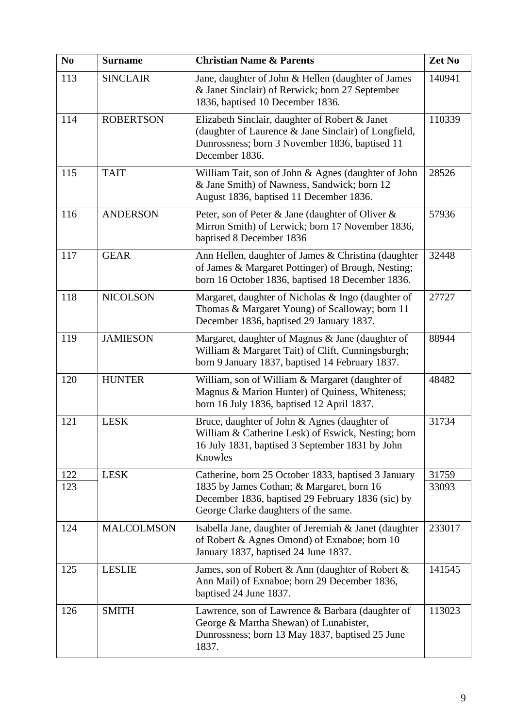| N <sub>0</sub> | <b>Surname</b>    | <b>Christian Name &amp; Parents</b>                                                                                                                                                           | Zet No         |
|----------------|-------------------|-----------------------------------------------------------------------------------------------------------------------------------------------------------------------------------------------|----------------|
| 113            | <b>SINCLAIR</b>   | Jane, daughter of John & Hellen (daughter of James<br>& Janet Sinclair) of Rerwick; born 27 September<br>1836, baptised 10 December 1836.                                                     | 140941         |
| 114            | <b>ROBERTSON</b>  | Elizabeth Sinclair, daughter of Robert & Janet<br>(daughter of Laurence & Jane Sinclair) of Longfield,<br>Dunrossness; born 3 November 1836, baptised 11<br>December 1836.                    | 110339         |
| 115            | <b>TAIT</b>       | William Tait, son of John & Agnes (daughter of John<br>& Jane Smith) of Nawness, Sandwick; born 12<br>August 1836, baptised 11 December 1836.                                                 | 28526          |
| 116            | <b>ANDERSON</b>   | Peter, son of Peter & Jane (daughter of Oliver &<br>Mirron Smith) of Lerwick; born 17 November 1836,<br>baptised 8 December 1836                                                              | 57936          |
| 117            | <b>GEAR</b>       | Ann Hellen, daughter of James & Christina (daughter<br>of James & Margaret Pottinger) of Brough, Nesting;<br>born 16 October 1836, baptised 18 December 1836.                                 | 32448          |
| 118            | <b>NICOLSON</b>   | Margaret, daughter of Nicholas & Ingo (daughter of<br>Thomas & Margaret Young) of Scalloway; born 11<br>December 1836, baptised 29 January 1837.                                              | 27727          |
| 119            | <b>JAMIESON</b>   | Margaret, daughter of Magnus & Jane (daughter of<br>William & Margaret Tait) of Clift, Cunningsburgh;<br>born 9 January 1837, baptised 14 February 1837.                                      | 88944          |
| 120            | <b>HUNTER</b>     | William, son of William & Margaret (daughter of<br>Magnus & Marion Hunter) of Quiness, Whiteness;<br>born 16 July 1836, baptised 12 April 1837.                                               | 48482          |
| 121            | <b>LESK</b>       | Bruce, daughter of John & Agnes (daughter of<br>William & Catherine Lesk) of Eswick, Nesting; born<br>16 July 1831, baptised 3 September 1831 by John<br>Knowles                              | 31734          |
| 122<br>123     | <b>LESK</b>       | Catherine, born 25 October 1833, baptised 3 January<br>1835 by James Cothan; & Margaret, born 16<br>December 1836, baptised 29 February 1836 (sic) by<br>George Clarke daughters of the same. | 31759<br>33093 |
| 124            | <b>MALCOLMSON</b> | Isabella Jane, daughter of Jeremiah & Janet (daughter<br>of Robert & Agnes Omond) of Exnaboe; born 10<br>January 1837, baptised 24 June 1837.                                                 | 233017         |
| 125            | <b>LESLIE</b>     | James, son of Robert & Ann (daughter of Robert &<br>Ann Mail) of Exnaboe; born 29 December 1836,<br>baptised 24 June 1837.                                                                    | 141545         |
| 126            | <b>SMITH</b>      | Lawrence, son of Lawrence & Barbara (daughter of<br>George & Martha Shewan) of Lunabister,<br>Dunrossness; born 13 May 1837, baptised 25 June<br>1837.                                        | 113023         |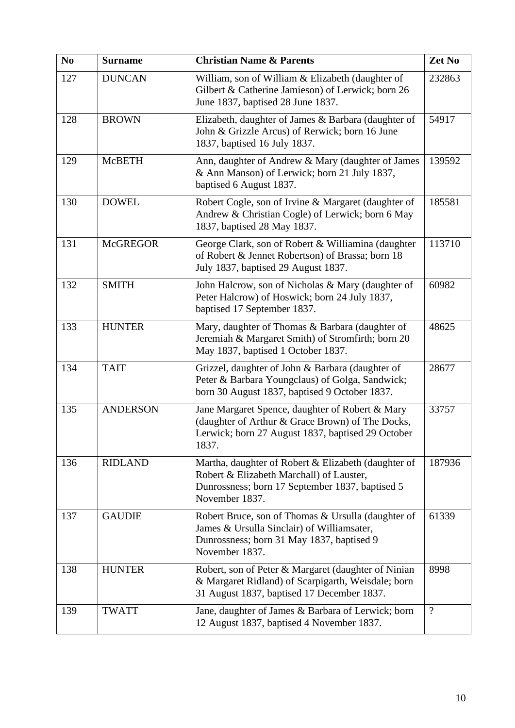| N <sub>0</sub> | <b>Surname</b>  | <b>Christian Name &amp; Parents</b>                                                                                                                                  | Zet No         |
|----------------|-----------------|----------------------------------------------------------------------------------------------------------------------------------------------------------------------|----------------|
| 127            | <b>DUNCAN</b>   | William, son of William & Elizabeth (daughter of<br>Gilbert & Catherine Jamieson) of Lerwick; born 26<br>June 1837, baptised 28 June 1837.                           | 232863         |
| 128            | <b>BROWN</b>    | Elizabeth, daughter of James & Barbara (daughter of<br>John & Grizzle Arcus) of Rerwick; born 16 June<br>1837, baptised 16 July 1837.                                | 54917          |
| 129            | <b>McBETH</b>   | Ann, daughter of Andrew & Mary (daughter of James<br>& Ann Manson) of Lerwick; born 21 July 1837,<br>baptised 6 August 1837.                                         | 139592         |
| 130            | <b>DOWEL</b>    | Robert Cogle, son of Irvine & Margaret (daughter of<br>Andrew & Christian Cogle) of Lerwick; born 6 May<br>1837, baptised 28 May 1837.                               | 185581         |
| 131            | <b>McGREGOR</b> | George Clark, son of Robert & Williamina (daughter<br>of Robert & Jennet Robertson) of Brassa; born 18<br>July 1837, baptised 29 August 1837.                        | 113710         |
| 132            | <b>SMITH</b>    | John Halcrow, son of Nicholas & Mary (daughter of<br>Peter Halcrow) of Hoswick; born 24 July 1837,<br>baptised 17 September 1837.                                    | 60982          |
| 133            | <b>HUNTER</b>   | Mary, daughter of Thomas & Barbara (daughter of<br>Jeremiah & Margaret Smith) of Stromfirth; born 20<br>May 1837, baptised 1 October 1837.                           | 48625          |
| 134            | <b>TAIT</b>     | Grizzel, daughter of John & Barbara (daughter of<br>Peter & Barbara Youngclaus) of Golga, Sandwick;<br>born 30 August 1837, baptised 9 October 1837.                 | 28677          |
| 135            | <b>ANDERSON</b> | Jane Margaret Spence, daughter of Robert & Mary<br>(daughter of Arthur & Grace Brown) of The Docks,<br>Lerwick; born 27 August 1837, baptised 29 October<br>1837.    | 33757          |
| 136            | <b>RIDLAND</b>  | Martha, daughter of Robert & Elizabeth (daughter of<br>Robert & Elizabeth Marchall) of Lauster,<br>Dunrossness; born 17 September 1837, baptised 5<br>November 1837. | 187936         |
| 137            | <b>GAUDIE</b>   | Robert Bruce, son of Thomas & Ursulla (daughter of<br>James & Ursulla Sinclair) of Williamsater,<br>Dunrossness; born 31 May 1837, baptised 9<br>November 1837.      | 61339          |
| 138            | <b>HUNTER</b>   | Robert, son of Peter & Margaret (daughter of Ninian<br>& Margaret Ridland) of Scarpigarth, Weisdale; born<br>31 August 1837, baptised 17 December 1837.              | 8998           |
| 139            | <b>TWATT</b>    | Jane, daughter of James & Barbara of Lerwick; born<br>12 August 1837, baptised 4 November 1837.                                                                      | $\overline{?}$ |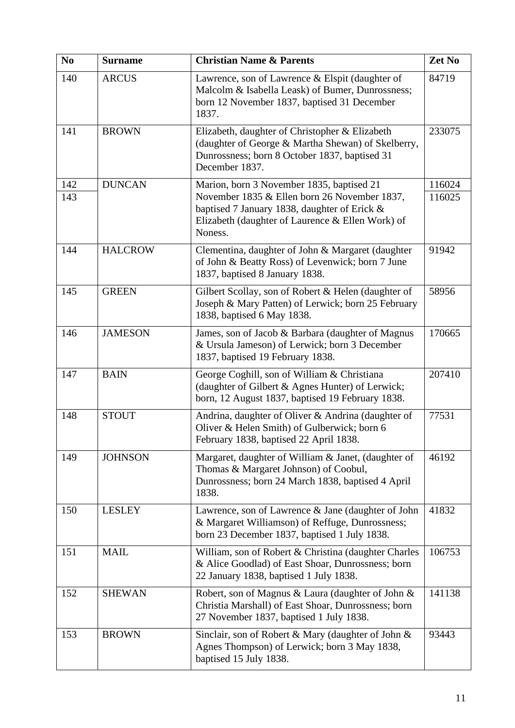| N <sub>0</sub> | <b>Surname</b> | <b>Christian Name &amp; Parents</b>                                                                                                                                     | Zet No |
|----------------|----------------|-------------------------------------------------------------------------------------------------------------------------------------------------------------------------|--------|
| 140            | <b>ARCUS</b>   | Lawrence, son of Lawrence & Elspit (daughter of<br>Malcolm & Isabella Leask) of Bumer, Dunrossness;<br>born 12 November 1837, baptised 31 December<br>1837.             | 84719  |
| 141            | <b>BROWN</b>   | Elizabeth, daughter of Christopher & Elizabeth<br>(daughter of George & Martha Shewan) of Skelberry,<br>Dunrossness; born 8 October 1837, baptised 31<br>December 1837. | 233075 |
| 142            | <b>DUNCAN</b>  | Marion, born 3 November 1835, baptised 21                                                                                                                               | 116024 |
| 143            |                | November 1835 & Ellen born 26 November 1837,<br>baptised 7 January 1838, daughter of Erick &<br>Elizabeth (daughter of Laurence & Ellen Work) of<br>Noness.             | 116025 |
| 144            | <b>HALCROW</b> | Clementina, daughter of John & Margaret (daughter<br>of John & Beatty Ross) of Levenwick; born 7 June<br>1837, baptised 8 January 1838.                                 | 91942  |
| 145            | <b>GREEN</b>   | Gilbert Scollay, son of Robert & Helen (daughter of<br>Joseph & Mary Patten) of Lerwick; born 25 February<br>1838, baptised 6 May 1838.                                 | 58956  |
| 146            | <b>JAMESON</b> | James, son of Jacob & Barbara (daughter of Magnus<br>& Ursula Jameson) of Lerwick; born 3 December<br>1837, baptised 19 February 1838.                                  | 170665 |
| 147            | <b>BAIN</b>    | George Coghill, son of William & Christiana<br>(daughter of Gilbert & Agnes Hunter) of Lerwick;<br>born, 12 August 1837, baptised 19 February 1838.                     | 207410 |
| 148            | <b>STOUT</b>   | Andrina, daughter of Oliver & Andrina (daughter of<br>Oliver & Helen Smith) of Gulberwick; born 6<br>February 1838, baptised 22 April 1838.                             | 77531  |
| 149            | <b>JOHNSON</b> | Margaret, daughter of William & Janet, (daughter of<br>Thomas & Margaret Johnson) of Coobul,<br>Dunrossness; born 24 March 1838, baptised 4 April<br>1838.              | 46192  |
| 150            | <b>LESLEY</b>  | Lawrence, son of Lawrence & Jane (daughter of John<br>& Margaret Williamson) of Reffuge, Dunrossness;<br>born 23 December 1837, baptised 1 July 1838.                   | 41832  |
| 151            | <b>MAIL</b>    | William, son of Robert & Christina (daughter Charles<br>& Alice Goodlad) of East Shoar, Dunrossness; born<br>22 January 1838, baptised 1 July 1838.                     | 106753 |
| 152            | <b>SHEWAN</b>  | Robert, son of Magnus & Laura (daughter of John &<br>Christia Marshall) of East Shoar, Dunrossness; born<br>27 November 1837, baptised 1 July 1838.                     | 141138 |
| 153            | <b>BROWN</b>   | Sinclair, son of Robert & Mary (daughter of John &<br>Agnes Thompson) of Lerwick; born 3 May 1838,<br>baptised 15 July 1838.                                            | 93443  |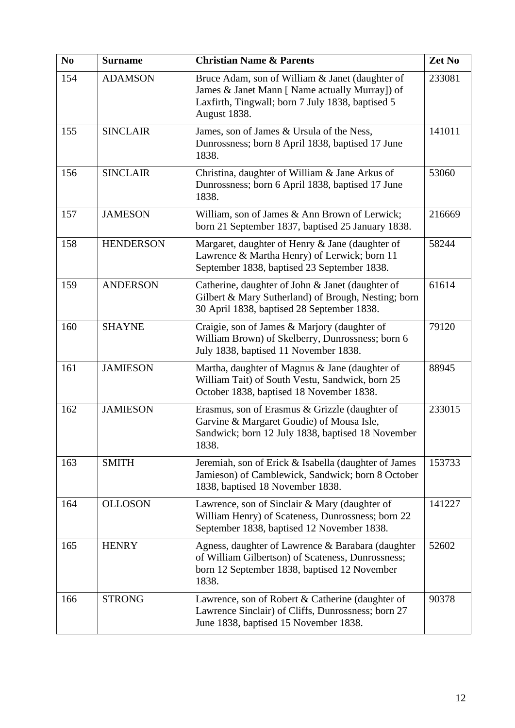| N <sub>0</sub> | <b>Surname</b>   | <b>Christian Name &amp; Parents</b>                                                                                                                                   | Zet No |
|----------------|------------------|-----------------------------------------------------------------------------------------------------------------------------------------------------------------------|--------|
| 154            | <b>ADAMSON</b>   | Bruce Adam, son of William & Janet (daughter of<br>James & Janet Mann [ Name actually Murray]) of<br>Laxfirth, Tingwall; born 7 July 1838, baptised 5<br>August 1838. | 233081 |
| 155            | <b>SINCLAIR</b>  | James, son of James & Ursula of the Ness,<br>Dunrossness; born 8 April 1838, baptised 17 June<br>1838.                                                                | 141011 |
| 156            | <b>SINCLAIR</b>  | Christina, daughter of William & Jane Arkus of<br>Dunrossness; born 6 April 1838, baptised 17 June<br>1838.                                                           | 53060  |
| 157            | <b>JAMESON</b>   | William, son of James & Ann Brown of Lerwick;<br>born 21 September 1837, baptised 25 January 1838.                                                                    | 216669 |
| 158            | <b>HENDERSON</b> | Margaret, daughter of Henry & Jane (daughter of<br>Lawrence & Martha Henry) of Lerwick; born 11<br>September 1838, baptised 23 September 1838.                        | 58244  |
| 159            | <b>ANDERSON</b>  | Catherine, daughter of John & Janet (daughter of<br>Gilbert & Mary Sutherland) of Brough, Nesting; born<br>30 April 1838, baptised 28 September 1838.                 | 61614  |
| 160            | <b>SHAYNE</b>    | Craigie, son of James & Marjory (daughter of<br>William Brown) of Skelberry, Dunrossness; born 6<br>July 1838, baptised 11 November 1838.                             | 79120  |
| 161            | <b>JAMIESON</b>  | Martha, daughter of Magnus & Jane (daughter of<br>William Tait) of South Vestu, Sandwick, born 25<br>October 1838, baptised 18 November 1838.                         | 88945  |
| 162            | <b>JAMIESON</b>  | Erasmus, son of Erasmus & Grizzle (daughter of<br>Garvine & Margaret Goudie) of Mousa Isle,<br>Sandwick; born 12 July 1838, baptised 18 November<br>1838.             | 233015 |
| 163            | <b>SMITH</b>     | Jeremiah, son of Erick & Isabella (daughter of James<br>Jamieson) of Camblewick, Sandwick; born 8 October<br>1838, baptised 18 November 1838.                         | 153733 |
| 164            | <b>OLLOSON</b>   | Lawrence, son of Sinclair & Mary (daughter of<br>William Henry) of Scateness, Dunrossness; born 22<br>September 1838, baptised 12 November 1838.                      | 141227 |
| 165            | <b>HENRY</b>     | Agness, daughter of Lawrence & Barabara (daughter<br>of William Gilbertson) of Scateness, Dunrossness;<br>born 12 September 1838, baptised 12 November<br>1838.       | 52602  |
| 166            | <b>STRONG</b>    | Lawrence, son of Robert & Catherine (daughter of<br>Lawrence Sinclair) of Cliffs, Dunrossness; born 27<br>June 1838, baptised 15 November 1838.                       | 90378  |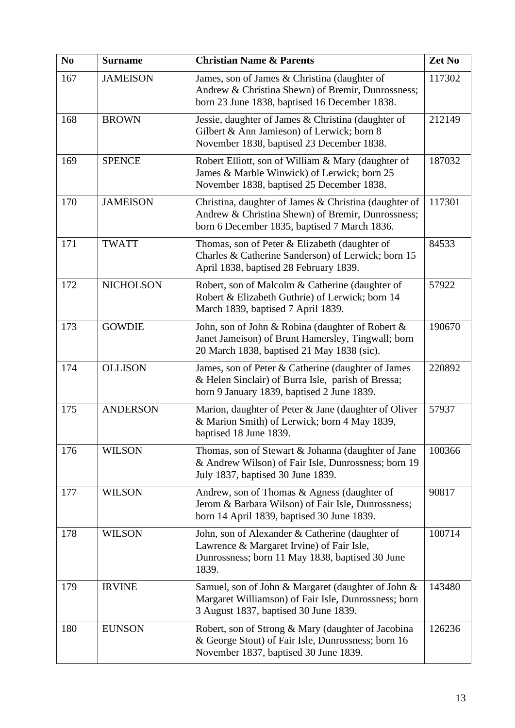| N <sub>0</sub> | <b>Surname</b>   | <b>Christian Name &amp; Parents</b>                                                                                                                        | Zet No |
|----------------|------------------|------------------------------------------------------------------------------------------------------------------------------------------------------------|--------|
| 167            | <b>JAMEISON</b>  | James, son of James & Christina (daughter of<br>Andrew & Christina Shewn) of Bremir, Dunrossness;<br>born 23 June 1838, baptised 16 December 1838.         | 117302 |
| 168            | <b>BROWN</b>     | Jessie, daughter of James & Christina (daughter of<br>Gilbert & Ann Jamieson) of Lerwick; born 8<br>November 1838, baptised 23 December 1838.              | 212149 |
| 169            | <b>SPENCE</b>    | Robert Elliott, son of William & Mary (daughter of<br>James & Marble Winwick) of Lerwick; born 25<br>November 1838, baptised 25 December 1838.             | 187032 |
| 170            | <b>JAMEISON</b>  | Christina, daughter of James & Christina (daughter of<br>Andrew & Christina Shewn) of Bremir, Dunrossness;<br>born 6 December 1835, baptised 7 March 1836. | 117301 |
| 171            | <b>TWATT</b>     | Thomas, son of Peter & Elizabeth (daughter of<br>Charles & Catherine Sanderson) of Lerwick; born 15<br>April 1838, baptised 28 February 1839.              | 84533  |
| 172            | <b>NICHOLSON</b> | Robert, son of Malcolm & Catherine (daughter of<br>Robert & Elizabeth Guthrie) of Lerwick; born 14<br>March 1839, baptised 7 April 1839.                   | 57922  |
| 173            | <b>GOWDIE</b>    | John, son of John & Robina (daughter of Robert &<br>Janet Jameison) of Brunt Hamersley, Tingwall; born<br>20 March 1838, baptised 21 May 1838 (sic).       | 190670 |
| 174            | <b>OLLISON</b>   | James, son of Peter & Catherine (daughter of James<br>& Helen Sinclair) of Burra Isle, parish of Bressa;<br>born 9 January 1839, baptised 2 June 1839.     | 220892 |
| 175            | <b>ANDERSON</b>  | Marion, daughter of Peter & Jane (daughter of Oliver<br>& Marion Smith) of Lerwick; born 4 May 1839,<br>baptised 18 June 1839.                             | 57937  |
| 176            | <b>WILSON</b>    | Thomas, son of Stewart & Johanna (daughter of Jane<br>& Andrew Wilson) of Fair Isle, Dunrossness; born 19<br>July 1837, baptised 30 June 1839.             | 100366 |
| 177            | <b>WILSON</b>    | Andrew, son of Thomas & Agness (daughter of<br>Jerom & Barbara Wilson) of Fair Isle, Dunrossness;<br>born 14 April 1839, baptised 30 June 1839.            | 90817  |
| 178            | <b>WILSON</b>    | John, son of Alexander & Catherine (daughter of<br>Lawrence & Margaret Irvine) of Fair Isle,<br>Dunrossness; born 11 May 1838, baptised 30 June<br>1839.   | 100714 |
| 179            | <b>IRVINE</b>    | Samuel, son of John & Margaret (daughter of John &<br>Margaret Williamson) of Fair Isle, Dunrossness; born<br>3 August 1837, baptised 30 June 1839.        | 143480 |
| 180            | <b>EUNSON</b>    | Robert, son of Strong & Mary (daughter of Jacobina<br>& George Stout) of Fair Isle, Dunrossness; born 16<br>November 1837, baptised 30 June 1839.          | 126236 |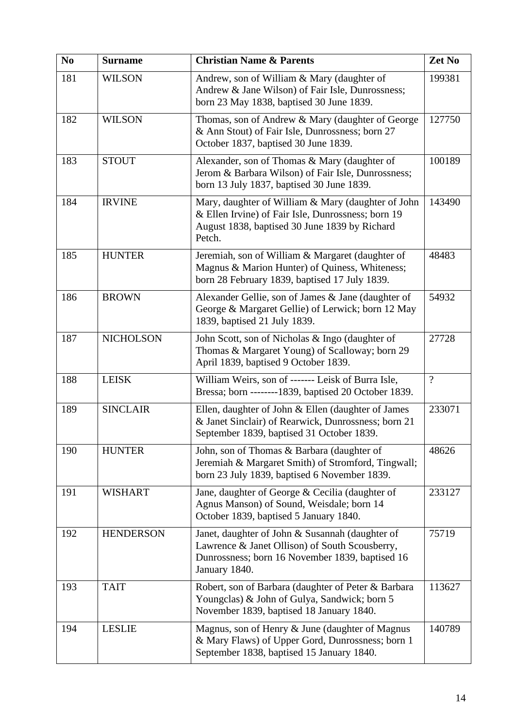| N <sub>0</sub> | <b>Surname</b>   | <b>Christian Name &amp; Parents</b>                                                                                                                                   | Zet No   |
|----------------|------------------|-----------------------------------------------------------------------------------------------------------------------------------------------------------------------|----------|
| 181            | <b>WILSON</b>    | Andrew, son of William & Mary (daughter of<br>Andrew & Jane Wilson) of Fair Isle, Dunrossness;<br>born 23 May 1838, baptised 30 June 1839.                            | 199381   |
| 182            | <b>WILSON</b>    | Thomas, son of Andrew & Mary (daughter of George<br>& Ann Stout) of Fair Isle, Dunrossness; born 27<br>October 1837, baptised 30 June 1839.                           | 127750   |
| 183            | <b>STOUT</b>     | Alexander, son of Thomas & Mary (daughter of<br>Jerom & Barbara Wilson) of Fair Isle, Dunrossness;<br>born 13 July 1837, baptised 30 June 1839.                       | 100189   |
| 184            | <b>IRVINE</b>    | Mary, daughter of William & Mary (daughter of John<br>& Ellen Irvine) of Fair Isle, Dunrossness; born 19<br>August 1838, baptised 30 June 1839 by Richard<br>Petch.   | 143490   |
| 185            | <b>HUNTER</b>    | Jeremiah, son of William & Margaret (daughter of<br>Magnus & Marion Hunter) of Quiness, Whiteness;<br>born 28 February 1839, baptised 17 July 1839.                   | 48483    |
| 186            | <b>BROWN</b>     | Alexander Gellie, son of James & Jane (daughter of<br>George & Margaret Gellie) of Lerwick; born 12 May<br>1839, baptised 21 July 1839.                               | 54932    |
| 187            | <b>NICHOLSON</b> | John Scott, son of Nicholas & Ingo (daughter of<br>Thomas & Margaret Young) of Scalloway; born 29<br>April 1839, baptised 9 October 1839.                             | 27728    |
| 188            | <b>LEISK</b>     | William Weirs, son of ------- Leisk of Burra Isle,<br>Bressa; born -------1839, baptised 20 October 1839.                                                             | $\gamma$ |
| 189            | <b>SINCLAIR</b>  | Ellen, daughter of John & Ellen (daughter of James<br>& Janet Sinclair) of Rearwick, Dunrossness; born 21<br>September 1839, baptised 31 October 1839.                | 233071   |
| 190            | <b>HUNTER</b>    | John, son of Thomas & Barbara (daughter of<br>Jeremiah & Margaret Smith) of Stromford, Tingwall;<br>born 23 July 1839, baptised 6 November 1839.                      | 48626    |
| 191            | <b>WISHART</b>   | Jane, daughter of George & Cecilia (daughter of<br>Agnus Manson) of Sound, Weisdale; born 14<br>October 1839, baptised 5 January 1840.                                | 233127   |
| 192            | <b>HENDERSON</b> | Janet, daughter of John & Susannah (daughter of<br>Lawrence & Janet Ollison) of South Scousberry,<br>Dunrossness; born 16 November 1839, baptised 16<br>January 1840. | 75719    |
| 193            | <b>TAIT</b>      | Robert, son of Barbara (daughter of Peter & Barbara<br>Youngclas) & John of Gulya, Sandwick; born 5<br>November 1839, baptised 18 January 1840.                       | 113627   |
| 194            | <b>LESLIE</b>    | Magnus, son of Henry & June (daughter of Magnus<br>& Mary Flaws) of Upper Gord, Dunrossness; born 1<br>September 1838, baptised 15 January 1840.                      | 140789   |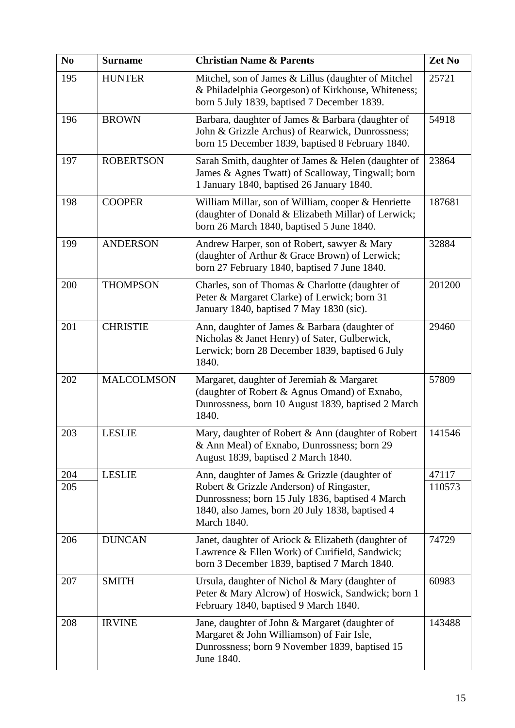| N <sub>0</sub> | <b>Surname</b>    | <b>Christian Name &amp; Parents</b>                                                                                                                            | Zet No |
|----------------|-------------------|----------------------------------------------------------------------------------------------------------------------------------------------------------------|--------|
| 195            | <b>HUNTER</b>     | Mitchel, son of James & Lillus (daughter of Mitchel<br>& Philadelphia Georgeson) of Kirkhouse, Whiteness;<br>born 5 July 1839, baptised 7 December 1839.       | 25721  |
| 196            | <b>BROWN</b>      | Barbara, daughter of James & Barbara (daughter of<br>John & Grizzle Archus) of Rearwick, Dunrossness;<br>born 15 December 1839, baptised 8 February 1840.      | 54918  |
| 197            | <b>ROBERTSON</b>  | Sarah Smith, daughter of James & Helen (daughter of<br>James & Agnes Twatt) of Scalloway, Tingwall; born<br>1 January 1840, baptised 26 January 1840.          | 23864  |
| 198            | <b>COOPER</b>     | William Millar, son of William, cooper & Henriette<br>(daughter of Donald & Elizabeth Millar) of Lerwick;<br>born 26 March 1840, baptised 5 June 1840.         | 187681 |
| 199            | <b>ANDERSON</b>   | Andrew Harper, son of Robert, sawyer & Mary<br>(daughter of Arthur & Grace Brown) of Lerwick;<br>born 27 February 1840, baptised 7 June 1840.                  | 32884  |
| 200            | <b>THOMPSON</b>   | Charles, son of Thomas & Charlotte (daughter of<br>Peter & Margaret Clarke) of Lerwick; born 31<br>January 1840, baptised 7 May 1830 (sic).                    | 201200 |
| 201            | <b>CHRISTIE</b>   | Ann, daughter of James & Barbara (daughter of<br>Nicholas & Janet Henry) of Sater, Gulberwick,<br>Lerwick; born 28 December 1839, baptised 6 July<br>1840.     | 29460  |
| 202            | <b>MALCOLMSON</b> | Margaret, daughter of Jeremiah & Margaret<br>(daughter of Robert & Agnus Omand) of Exnabo,<br>Dunrossness, born 10 August 1839, baptised 2 March<br>1840.      | 57809  |
| 203            | <b>LESLIE</b>     | Mary, daughter of Robert & Ann (daughter of Robert<br>& Ann Meal) of Exnabo, Dunrossness; born 29<br>August 1839, baptised 2 March 1840.                       | 141546 |
| 204            | <b>LESLIE</b>     | Ann, daughter of James & Grizzle (daughter of                                                                                                                  | 47117  |
| 205            |                   | Robert & Grizzle Anderson) of Ringaster,<br>Dunrossness; born 15 July 1836, baptised 4 March<br>1840, also James, born 20 July 1838, baptised 4<br>March 1840. | 110573 |
| 206            | <b>DUNCAN</b>     | Janet, daughter of Ariock & Elizabeth (daughter of<br>Lawrence & Ellen Work) of Curifield, Sandwick;<br>born 3 December 1839, baptised 7 March 1840.           | 74729  |
| 207            | <b>SMITH</b>      | Ursula, daughter of Nichol & Mary (daughter of<br>Peter & Mary Alcrow) of Hoswick, Sandwick; born 1<br>February 1840, baptised 9 March 1840.                   | 60983  |
| 208            | <b>IRVINE</b>     | Jane, daughter of John & Margaret (daughter of<br>Margaret & John Williamson) of Fair Isle,<br>Dunrossness; born 9 November 1839, baptised 15<br>June 1840.    | 143488 |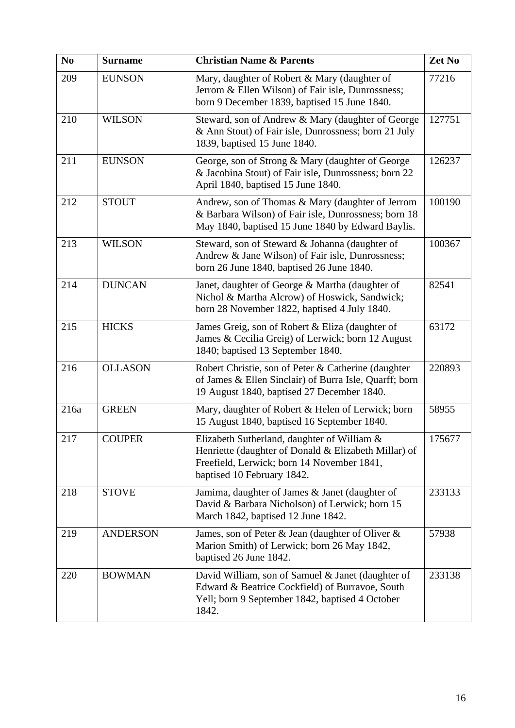| N <sub>0</sub> | <b>Surname</b>  | <b>Christian Name &amp; Parents</b>                                                                                                                                             | Zet No |
|----------------|-----------------|---------------------------------------------------------------------------------------------------------------------------------------------------------------------------------|--------|
| 209            | <b>EUNSON</b>   | Mary, daughter of Robert & Mary (daughter of<br>Jerrom & Ellen Wilson) of Fair isle, Dunrossness;<br>born 9 December 1839, baptised 15 June 1840.                               | 77216  |
| 210            | <b>WILSON</b>   | Steward, son of Andrew & Mary (daughter of George<br>& Ann Stout) of Fair isle, Dunrossness; born 21 July<br>1839, baptised 15 June 1840.                                       | 127751 |
| 211            | <b>EUNSON</b>   | George, son of Strong & Mary (daughter of George<br>& Jacobina Stout) of Fair isle, Dunrossness; born 22<br>April 1840, baptised 15 June 1840.                                  | 126237 |
| 212            | <b>STOUT</b>    | Andrew, son of Thomas & Mary (daughter of Jerrom<br>& Barbara Wilson) of Fair isle, Dunrossness; born 18<br>May 1840, baptised 15 June 1840 by Edward Baylis.                   | 100190 |
| 213            | <b>WILSON</b>   | Steward, son of Steward & Johanna (daughter of<br>Andrew & Jane Wilson) of Fair isle, Dunrossness;<br>born 26 June 1840, baptised 26 June 1840.                                 | 100367 |
| 214            | <b>DUNCAN</b>   | Janet, daughter of George & Martha (daughter of<br>Nichol & Martha Alcrow) of Hoswick, Sandwick;<br>born 28 November 1822, baptised 4 July 1840.                                | 82541  |
| 215            | <b>HICKS</b>    | James Greig, son of Robert & Eliza (daughter of<br>James & Cecilia Greig) of Lerwick; born 12 August<br>1840; baptised 13 September 1840.                                       | 63172  |
| 216            | <b>OLLASON</b>  | Robert Christie, son of Peter & Catherine (daughter<br>of James & Ellen Sinclair) of Burra Isle, Quarff; born<br>19 August 1840, baptised 27 December 1840.                     | 220893 |
| 216a           | <b>GREEN</b>    | Mary, daughter of Robert & Helen of Lerwick; born<br>15 August 1840, baptised 16 September 1840.                                                                                | 58955  |
| 217            | <b>COUPER</b>   | Elizabeth Sutherland, daughter of William &<br>Henriette (daughter of Donald & Elizabeth Millar) of<br>Freefield, Lerwick; born 14 November 1841,<br>baptised 10 February 1842. | 175677 |
| 218            | <b>STOVE</b>    | Jamima, daughter of James & Janet (daughter of<br>David & Barbara Nicholson) of Lerwick; born 15<br>March 1842, baptised 12 June 1842.                                          | 233133 |
| 219            | <b>ANDERSON</b> | James, son of Peter & Jean (daughter of Oliver &<br>Marion Smith) of Lerwick; born 26 May 1842,<br>baptised 26 June 1842.                                                       | 57938  |
| 220            | <b>BOWMAN</b>   | David William, son of Samuel & Janet (daughter of<br>Edward & Beatrice Cockfield) of Burravoe, South<br>Yell; born 9 September 1842, baptised 4 October<br>1842.                | 233138 |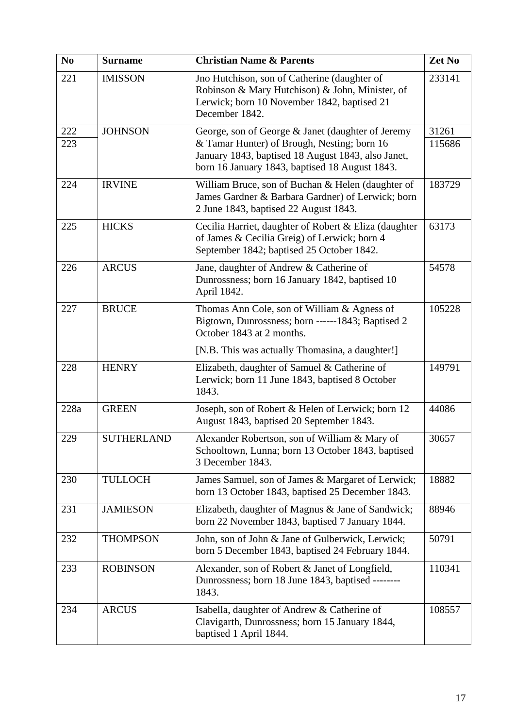| N <sub>0</sub> | <b>Surname</b>    | <b>Christian Name &amp; Parents</b>                                                                                                                              | Zet No |
|----------------|-------------------|------------------------------------------------------------------------------------------------------------------------------------------------------------------|--------|
| 221            | <b>IMISSON</b>    | Jno Hutchison, son of Catherine (daughter of<br>Robinson & Mary Hutchison) & John, Minister, of<br>Lerwick; born 10 November 1842, baptised 21<br>December 1842. | 233141 |
| 222            | <b>JOHNSON</b>    | George, son of George & Janet (daughter of Jeremy                                                                                                                | 31261  |
| 223            |                   | & Tamar Hunter) of Brough, Nesting; born 16<br>January 1843, baptised 18 August 1843, also Janet,<br>born 16 January 1843, baptised 18 August 1843.              | 115686 |
| 224            | <b>IRVINE</b>     | William Bruce, son of Buchan & Helen (daughter of<br>James Gardner & Barbara Gardner) of Lerwick; born<br>2 June 1843, baptised 22 August 1843.                  | 183729 |
| 225            | <b>HICKS</b>      | Cecilia Harriet, daughter of Robert & Eliza (daughter<br>of James & Cecilia Greig) of Lerwick; born 4<br>September 1842; baptised 25 October 1842.               | 63173  |
| 226            | <b>ARCUS</b>      | Jane, daughter of Andrew & Catherine of<br>Dunrossness; born 16 January 1842, baptised 10<br>April 1842.                                                         | 54578  |
| 227            | <b>BRUCE</b>      | Thomas Ann Cole, son of William & Agness of<br>Bigtown, Dunrossness; born ------1843; Baptised 2<br>October 1843 at 2 months.                                    | 105228 |
|                |                   | [N.B. This was actually Thomasina, a daughter!]                                                                                                                  |        |
| 228            | <b>HENRY</b>      | Elizabeth, daughter of Samuel & Catherine of<br>Lerwick; born 11 June 1843, baptised 8 October<br>1843.                                                          | 149791 |
| 228a           | <b>GREEN</b>      | Joseph, son of Robert & Helen of Lerwick; born 12<br>August 1843, baptised 20 September 1843.                                                                    | 44086  |
| 229            | <b>SUTHERLAND</b> | Alexander Robertson, son of William & Mary of<br>Schooltown, Lunna; born 13 October 1843, baptised<br>3 December 1843.                                           | 30657  |
| 230            | <b>TULLOCH</b>    | James Samuel, son of James & Margaret of Lerwick;<br>born 13 October 1843, baptised 25 December 1843.                                                            | 18882  |
| 231            | <b>JAMIESON</b>   | Elizabeth, daughter of Magnus & Jane of Sandwick;<br>born 22 November 1843, baptised 7 January 1844.                                                             | 88946  |
| 232            | <b>THOMPSON</b>   | John, son of John & Jane of Gulberwick, Lerwick;<br>born 5 December 1843, baptised 24 February 1844.                                                             | 50791  |
| 233            | <b>ROBINSON</b>   | Alexander, son of Robert & Janet of Longfield,<br>Dunrossness; born 18 June 1843, baptised --------<br>1843.                                                     | 110341 |
| 234            | <b>ARCUS</b>      | Isabella, daughter of Andrew & Catherine of<br>Clavigarth, Dunrossness; born 15 January 1844,<br>baptised 1 April 1844.                                          | 108557 |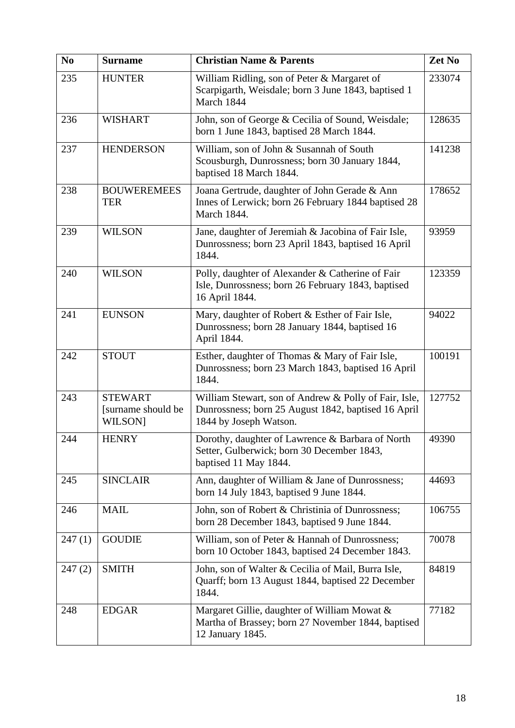| N <sub>0</sub> | <b>Surname</b>                                        | <b>Christian Name &amp; Parents</b>                                                                                                    | Zet No |
|----------------|-------------------------------------------------------|----------------------------------------------------------------------------------------------------------------------------------------|--------|
| 235            | <b>HUNTER</b>                                         | William Ridling, son of Peter & Margaret of<br>Scarpigarth, Weisdale; born 3 June 1843, baptised 1<br>March 1844                       | 233074 |
| 236            | <b>WISHART</b>                                        | John, son of George & Cecilia of Sound, Weisdale;<br>born 1 June 1843, baptised 28 March 1844.                                         | 128635 |
| 237            | <b>HENDERSON</b>                                      | William, son of John & Susannah of South<br>Scousburgh, Dunrossness; born 30 January 1844,<br>baptised 18 March 1844.                  | 141238 |
| 238            | <b>BOUWEREMEES</b><br><b>TER</b>                      | Joana Gertrude, daughter of John Gerade & Ann<br>Innes of Lerwick; born 26 February 1844 baptised 28<br>March 1844.                    | 178652 |
| 239            | <b>WILSON</b>                                         | Jane, daughter of Jeremiah & Jacobina of Fair Isle,<br>Dunrossness; born 23 April 1843, baptised 16 April<br>1844.                     | 93959  |
| 240            | <b>WILSON</b>                                         | Polly, daughter of Alexander & Catherine of Fair<br>Isle, Dunrossness; born 26 February 1843, baptised<br>16 April 1844.               | 123359 |
| 241            | <b>EUNSON</b>                                         | Mary, daughter of Robert & Esther of Fair Isle,<br>Dunrossness; born 28 January 1844, baptised 16<br>April 1844.                       | 94022  |
| 242            | <b>STOUT</b>                                          | Esther, daughter of Thomas & Mary of Fair Isle,<br>Dunrossness; born 23 March 1843, baptised 16 April<br>1844.                         | 100191 |
| 243            | <b>STEWART</b><br>[surname should be<br><b>WILSON</b> | William Stewart, son of Andrew & Polly of Fair, Isle,<br>Dunrossness; born 25 August 1842, baptised 16 April<br>1844 by Joseph Watson. | 127752 |
| 244            | <b>HENRY</b>                                          | Dorothy, daughter of Lawrence & Barbara of North<br>Setter, Gulberwick; born 30 December 1843,<br>baptised 11 May 1844.                | 49390  |
| 245            | <b>SINCLAIR</b>                                       | Ann, daughter of William & Jane of Dunrossness;<br>born 14 July 1843, baptised 9 June 1844.                                            | 44693  |
| 246            | <b>MAIL</b>                                           | John, son of Robert & Christinia of Dunrossness;<br>born 28 December 1843, baptised 9 June 1844.                                       | 106755 |
| 247(1)         | <b>GOUDIE</b>                                         | William, son of Peter & Hannah of Dunrossness;<br>born 10 October 1843, baptised 24 December 1843.                                     | 70078  |
| 247(2)         | <b>SMITH</b>                                          | John, son of Walter & Cecilia of Mail, Burra Isle,<br>Quarff; born 13 August 1844, baptised 22 December<br>1844.                       | 84819  |
| 248            | <b>EDGAR</b>                                          | Margaret Gillie, daughter of William Mowat &<br>Martha of Brassey; born 27 November 1844, baptised<br>12 January 1845.                 | 77182  |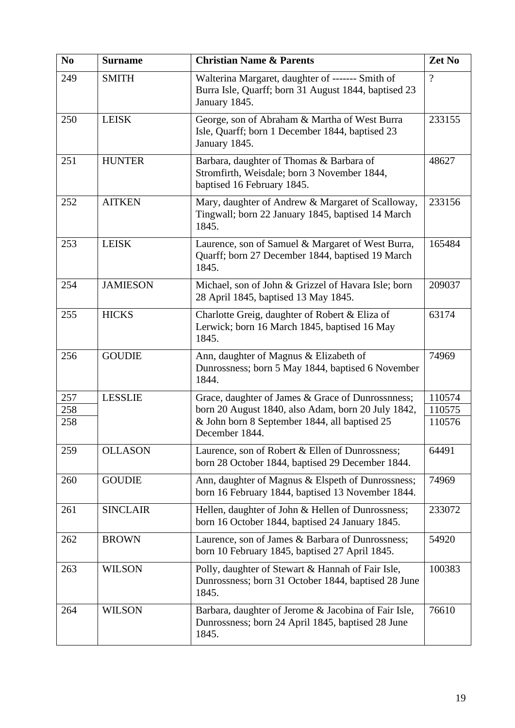| N <sub>0</sub> | <b>Surname</b>  | <b>Christian Name &amp; Parents</b>                                                                                       | Zet No   |
|----------------|-----------------|---------------------------------------------------------------------------------------------------------------------------|----------|
| 249            | <b>SMITH</b>    | Walterina Margaret, daughter of ------- Smith of<br>Burra Isle, Quarff; born 31 August 1844, baptised 23<br>January 1845. | $\gamma$ |
| 250            | <b>LEISK</b>    | George, son of Abraham & Martha of West Burra<br>Isle, Quarff; born 1 December 1844, baptised 23<br>January 1845.         | 233155   |
| 251            | <b>HUNTER</b>   | Barbara, daughter of Thomas & Barbara of<br>Stromfirth, Weisdale; born 3 November 1844,<br>baptised 16 February 1845.     | 48627    |
| 252            | <b>AITKEN</b>   | Mary, daughter of Andrew & Margaret of Scalloway,<br>Tingwall; born 22 January 1845, baptised 14 March<br>1845.           | 233156   |
| 253            | <b>LEISK</b>    | Laurence, son of Samuel & Margaret of West Burra,<br>Quarff; born 27 December 1844, baptised 19 March<br>1845.            | 165484   |
| 254            | <b>JAMIESON</b> | Michael, son of John & Grizzel of Havara Isle; born<br>28 April 1845, baptised 13 May 1845.                               | 209037   |
| 255            | <b>HICKS</b>    | Charlotte Greig, daughter of Robert & Eliza of<br>Lerwick; born 16 March 1845, baptised 16 May<br>1845.                   | 63174    |
| 256            | <b>GOUDIE</b>   | Ann, daughter of Magnus & Elizabeth of<br>Dunrossness; born 5 May 1844, baptised 6 November<br>1844.                      | 74969    |
| 257            | <b>LESSLIE</b>  | Grace, daughter of James & Grace of Dunrossnness;                                                                         | 110574   |
| 258            |                 | born 20 August 1840, also Adam, born 20 July 1842,                                                                        | 110575   |
| 258            |                 | & John born 8 September 1844, all baptised 25<br>December 1844.                                                           | 110576   |
| 259            | <b>OLLASON</b>  | Laurence, son of Robert & Ellen of Dunrossness;<br>born 28 October 1844, baptised 29 December 1844.                       | 64491    |
| 260            | <b>GOUDIE</b>   | Ann, daughter of Magnus & Elspeth of Dunrossness;<br>born 16 February 1844, baptised 13 November 1844.                    | 74969    |
| 261            | <b>SINCLAIR</b> | Hellen, daughter of John & Hellen of Dunrossness;<br>born 16 October 1844, baptised 24 January 1845.                      | 233072   |
| 262            | <b>BROWN</b>    | Laurence, son of James & Barbara of Dunrossness;<br>born 10 February 1845, baptised 27 April 1845.                        | 54920    |
| 263            | <b>WILSON</b>   | Polly, daughter of Stewart & Hannah of Fair Isle,<br>Dunrossness; born 31 October 1844, baptised 28 June<br>1845.         | 100383   |
| 264            | <b>WILSON</b>   | Barbara, daughter of Jerome & Jacobina of Fair Isle,<br>Dunrossness; born 24 April 1845, baptised 28 June<br>1845.        | 76610    |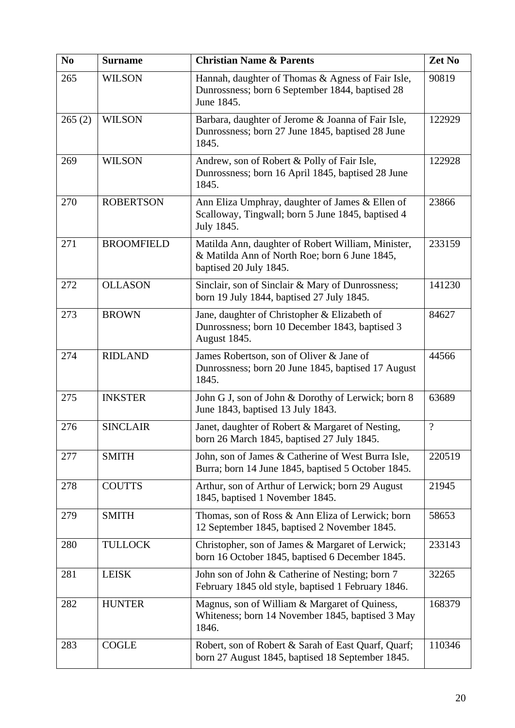| N <sub>0</sub> | <b>Surname</b>    | <b>Christian Name &amp; Parents</b>                                                                                           | Zet No         |
|----------------|-------------------|-------------------------------------------------------------------------------------------------------------------------------|----------------|
| 265            | <b>WILSON</b>     | Hannah, daughter of Thomas & Agness of Fair Isle,<br>Dunrossness; born 6 September 1844, baptised 28<br>June 1845.            | 90819          |
| 265(2)         | <b>WILSON</b>     | Barbara, daughter of Jerome & Joanna of Fair Isle,<br>Dunrossness; born 27 June 1845, baptised 28 June<br>1845.               | 122929         |
| 269            | <b>WILSON</b>     | Andrew, son of Robert & Polly of Fair Isle,<br>Dunrossness; born 16 April 1845, baptised 28 June<br>1845.                     | 122928         |
| 270            | <b>ROBERTSON</b>  | Ann Eliza Umphray, daughter of James & Ellen of<br>Scalloway, Tingwall; born 5 June 1845, baptised 4<br>July 1845.            | 23866          |
| 271            | <b>BROOMFIELD</b> | Matilda Ann, daughter of Robert William, Minister,<br>& Matilda Ann of North Roe; born 6 June 1845,<br>baptised 20 July 1845. | 233159         |
| 272            | <b>OLLASON</b>    | Sinclair, son of Sinclair & Mary of Dunrossness;<br>born 19 July 1844, baptised 27 July 1845.                                 | 141230         |
| 273            | <b>BROWN</b>      | Jane, daughter of Christopher & Elizabeth of<br>Dunrossness; born 10 December 1843, baptised 3<br>August 1845.                | 84627          |
| 274            | <b>RIDLAND</b>    | James Robertson, son of Oliver & Jane of<br>Dunrossness; born 20 June 1845, baptised 17 August<br>1845.                       | 44566          |
| 275            | <b>INKSTER</b>    | John G J, son of John & Dorothy of Lerwick; born 8<br>June 1843, baptised 13 July 1843.                                       | 63689          |
| 276            | <b>SINCLAIR</b>   | Janet, daughter of Robert & Margaret of Nesting,<br>born 26 March 1845, baptised 27 July 1845.                                | $\overline{?}$ |
| 277            | <b>SMITH</b>      | John, son of James & Catherine of West Burra Isle,<br>Burra; born 14 June 1845, baptised 5 October 1845.                      | 220519         |
| 278            | <b>COUTTS</b>     | Arthur, son of Arthur of Lerwick; born 29 August<br>1845, baptised 1 November 1845.                                           | 21945          |
| 279            | <b>SMITH</b>      | Thomas, son of Ross & Ann Eliza of Lerwick; born<br>12 September 1845, baptised 2 November 1845.                              | 58653          |
| 280            | <b>TULLOCK</b>    | Christopher, son of James & Margaret of Lerwick;<br>born 16 October 1845, baptised 6 December 1845.                           | 233143         |
| 281            | <b>LEISK</b>      | John son of John & Catherine of Nesting; born 7<br>February 1845 old style, baptised 1 February 1846.                         | 32265          |
| 282            | <b>HUNTER</b>     | Magnus, son of William & Margaret of Quiness,<br>Whiteness; born 14 November 1845, baptised 3 May<br>1846.                    | 168379         |
| 283            | <b>COGLE</b>      | Robert, son of Robert & Sarah of East Quarf, Quarf;<br>born 27 August 1845, baptised 18 September 1845.                       | 110346         |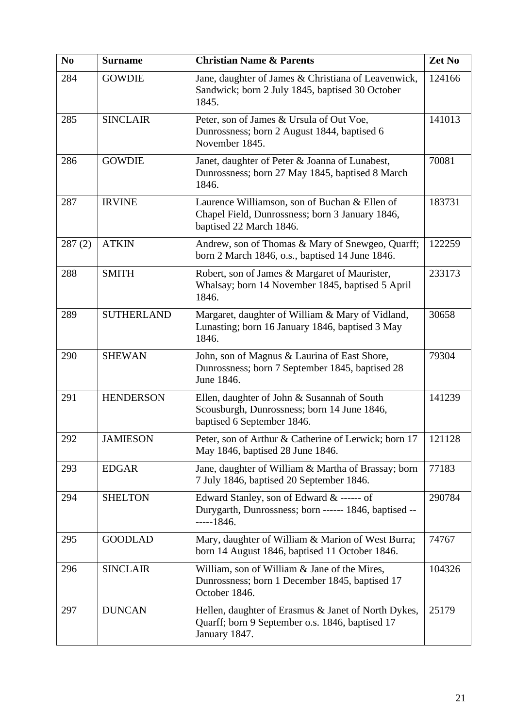| N <sub>0</sub> | <b>Surname</b>    | <b>Christian Name &amp; Parents</b>                                                                                         | Zet No |
|----------------|-------------------|-----------------------------------------------------------------------------------------------------------------------------|--------|
| 284            | <b>GOWDIE</b>     | Jane, daughter of James & Christiana of Leavenwick,<br>Sandwick; born 2 July 1845, baptised 30 October<br>1845.             | 124166 |
| 285            | <b>SINCLAIR</b>   | Peter, son of James & Ursula of Out Voe,<br>Dunrossness; born 2 August 1844, baptised 6<br>November 1845.                   | 141013 |
| 286            | <b>GOWDIE</b>     | Janet, daughter of Peter & Joanna of Lunabest,<br>Dunrossness; born 27 May 1845, baptised 8 March<br>1846.                  | 70081  |
| 287            | <b>IRVINE</b>     | Laurence Williamson, son of Buchan & Ellen of<br>Chapel Field, Dunrossness; born 3 January 1846,<br>baptised 22 March 1846. | 183731 |
| 287(2)         | <b>ATKIN</b>      | Andrew, son of Thomas & Mary of Snewgeo, Quarff;<br>born 2 March 1846, o.s., baptised 14 June 1846.                         | 122259 |
| 288            | <b>SMITH</b>      | Robert, son of James & Margaret of Maurister,<br>Whalsay; born 14 November 1845, baptised 5 April<br>1846.                  | 233173 |
| 289            | <b>SUTHERLAND</b> | Margaret, daughter of William & Mary of Vidland,<br>Lunasting; born 16 January 1846, baptised 3 May<br>1846.                | 30658  |
| 290            | <b>SHEWAN</b>     | John, son of Magnus & Laurina of East Shore,<br>Dunrossness; born 7 September 1845, baptised 28<br>June 1846.               | 79304  |
| 291            | <b>HENDERSON</b>  | Ellen, daughter of John & Susannah of South<br>Scousburgh, Dunrossness; born 14 June 1846,<br>baptised 6 September 1846.    | 141239 |
| 292            | <b>JAMIESON</b>   | Peter, son of Arthur & Catherine of Lerwick; born 17<br>May 1846, baptised 28 June 1846.                                    | 121128 |
| 293            | <b>EDGAR</b>      | Jane, daughter of William & Martha of Brassay; born<br>7 July 1846, baptised 20 September 1846.                             | 77183  |
| 294            | <b>SHELTON</b>    | Edward Stanley, son of Edward & ------ of<br>Durygarth, Dunrossness; born ------ 1846, baptised --<br>$---1846.$            | 290784 |
| 295            | <b>GOODLAD</b>    | Mary, daughter of William & Marion of West Burra;<br>born 14 August 1846, baptised 11 October 1846.                         | 74767  |
| 296            | <b>SINCLAIR</b>   | William, son of William & Jane of the Mires,<br>Dunrossness; born 1 December 1845, baptised 17<br>October 1846.             | 104326 |
| 297            | <b>DUNCAN</b>     | Hellen, daughter of Erasmus & Janet of North Dykes,<br>Quarff; born 9 September o.s. 1846, baptised 17<br>January 1847.     | 25179  |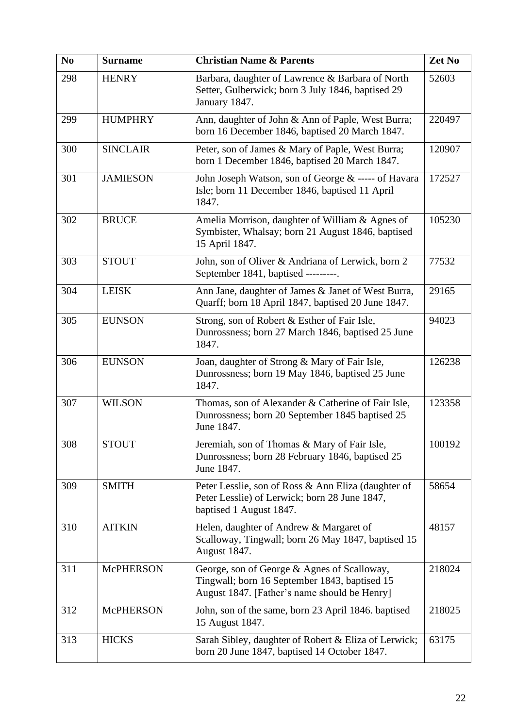| N <sub>0</sub> | <b>Surname</b>   | <b>Christian Name &amp; Parents</b>                                                                                                          | Zet No |
|----------------|------------------|----------------------------------------------------------------------------------------------------------------------------------------------|--------|
| 298            | <b>HENRY</b>     | Barbara, daughter of Lawrence & Barbara of North<br>Setter, Gulberwick; born 3 July 1846, baptised 29<br>January 1847.                       | 52603  |
| 299            | <b>HUMPHRY</b>   | Ann, daughter of John & Ann of Paple, West Burra;<br>born 16 December 1846, baptised 20 March 1847.                                          | 220497 |
| 300            | <b>SINCLAIR</b>  | Peter, son of James & Mary of Paple, West Burra;<br>born 1 December 1846, baptised 20 March 1847.                                            | 120907 |
| 301            | <b>JAMIESON</b>  | John Joseph Watson, son of George & ----- of Havara<br>Isle; born 11 December 1846, baptised 11 April<br>1847.                               | 172527 |
| 302            | <b>BRUCE</b>     | Amelia Morrison, daughter of William & Agnes of<br>Symbister, Whalsay; born 21 August 1846, baptised<br>15 April 1847.                       | 105230 |
| 303            | <b>STOUT</b>     | John, son of Oliver & Andriana of Lerwick, born 2<br>September 1841, baptised ---------.                                                     | 77532  |
| 304            | <b>LEISK</b>     | Ann Jane, daughter of James & Janet of West Burra,<br>Quarff; born 18 April 1847, baptised 20 June 1847.                                     | 29165  |
| 305            | <b>EUNSON</b>    | Strong, son of Robert & Esther of Fair Isle,<br>Dunrossness; born 27 March 1846, baptised 25 June<br>1847.                                   | 94023  |
| 306            | <b>EUNSON</b>    | Joan, daughter of Strong & Mary of Fair Isle,<br>Dunrossness; born 19 May 1846, baptised 25 June<br>1847.                                    | 126238 |
| 307            | <b>WILSON</b>    | Thomas, son of Alexander & Catherine of Fair Isle,<br>Dunrossness; born 20 September 1845 baptised 25<br>June 1847.                          | 123358 |
| 308            | <b>STOUT</b>     | Jeremiah, son of Thomas & Mary of Fair Isle,<br>Dunrossness; born 28 February 1846, baptised 25<br>June 1847.                                | 100192 |
| 309            | <b>SMITH</b>     | Peter Lesslie, son of Ross & Ann Eliza (daughter of<br>Peter Lesslie) of Lerwick; born 28 June 1847,<br>baptised 1 August 1847.              | 58654  |
| 310            | <b>AITKIN</b>    | Helen, daughter of Andrew & Margaret of<br>Scalloway, Tingwall; born 26 May 1847, baptised 15<br>August 1847.                                | 48157  |
| 311            | <b>McPHERSON</b> | George, son of George & Agnes of Scalloway,<br>Tingwall; born 16 September 1843, baptised 15<br>August 1847. [Father's name should be Henry] | 218024 |
| 312            | <b>McPHERSON</b> | John, son of the same, born 23 April 1846. baptised<br>15 August 1847.                                                                       | 218025 |
| 313            | <b>HICKS</b>     | Sarah Sibley, daughter of Robert & Eliza of Lerwick;<br>born 20 June 1847, baptised 14 October 1847.                                         | 63175  |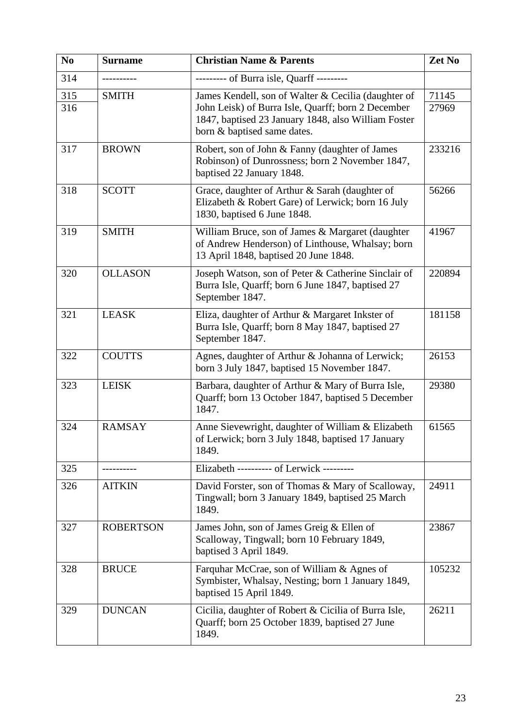| N <sub>0</sub> | <b>Surname</b>   | <b>Christian Name &amp; Parents</b>                                                                                                                                                             | Zet No         |
|----------------|------------------|-------------------------------------------------------------------------------------------------------------------------------------------------------------------------------------------------|----------------|
| 314            |                  | --------- of Burra isle, Quarff ---------                                                                                                                                                       |                |
| 315<br>316     | <b>SMITH</b>     | James Kendell, son of Walter & Cecilia (daughter of<br>John Leisk) of Burra Isle, Quarff; born 2 December<br>1847, baptised 23 January 1848, also William Foster<br>born & baptised same dates. | 71145<br>27969 |
| 317            | <b>BROWN</b>     | Robert, son of John & Fanny (daughter of James<br>Robinson) of Dunrossness; born 2 November 1847,<br>baptised 22 January 1848.                                                                  | 233216         |
| 318            | <b>SCOTT</b>     | Grace, daughter of Arthur & Sarah (daughter of<br>Elizabeth & Robert Gare) of Lerwick; born 16 July<br>1830, baptised 6 June 1848.                                                              | 56266          |
| 319            | <b>SMITH</b>     | William Bruce, son of James & Margaret (daughter<br>of Andrew Henderson) of Linthouse, Whalsay; born<br>13 April 1848, baptised 20 June 1848.                                                   | 41967          |
| 320            | <b>OLLASON</b>   | Joseph Watson, son of Peter & Catherine Sinclair of<br>Burra Isle, Quarff; born 6 June 1847, baptised 27<br>September 1847.                                                                     | 220894         |
| 321            | <b>LEASK</b>     | Eliza, daughter of Arthur & Margaret Inkster of<br>Burra Isle, Quarff; born 8 May 1847, baptised 27<br>September 1847.                                                                          | 181158         |
| 322            | <b>COUTTS</b>    | Agnes, daughter of Arthur & Johanna of Lerwick;<br>born 3 July 1847, baptised 15 November 1847.                                                                                                 | 26153          |
| 323            | <b>LEISK</b>     | Barbara, daughter of Arthur & Mary of Burra Isle,<br>Quarff; born 13 October 1847, baptised 5 December<br>1847.                                                                                 | 29380          |
| 324            | <b>RAMSAY</b>    | Anne Sievewright, daughter of William & Elizabeth<br>of Lerwick; born 3 July 1848, baptised 17 January<br>1849.                                                                                 | 61565          |
| 325            |                  | Elizabeth ---------- of Lerwick ---------                                                                                                                                                       |                |
| 326            | <b>AITKIN</b>    | David Forster, son of Thomas & Mary of Scalloway,<br>Tingwall; born 3 January 1849, baptised 25 March<br>1849.                                                                                  | 24911          |
| 327            | <b>ROBERTSON</b> | James John, son of James Greig & Ellen of<br>Scalloway, Tingwall; born 10 February 1849,<br>baptised 3 April 1849.                                                                              | 23867          |
| 328            | <b>BRUCE</b>     | Farquhar McCrae, son of William & Agnes of<br>Symbister, Whalsay, Nesting; born 1 January 1849,<br>baptised 15 April 1849.                                                                      | 105232         |
| 329            | <b>DUNCAN</b>    | Cicilia, daughter of Robert & Cicilia of Burra Isle,<br>Quarff; born 25 October 1839, baptised 27 June<br>1849.                                                                                 | 26211          |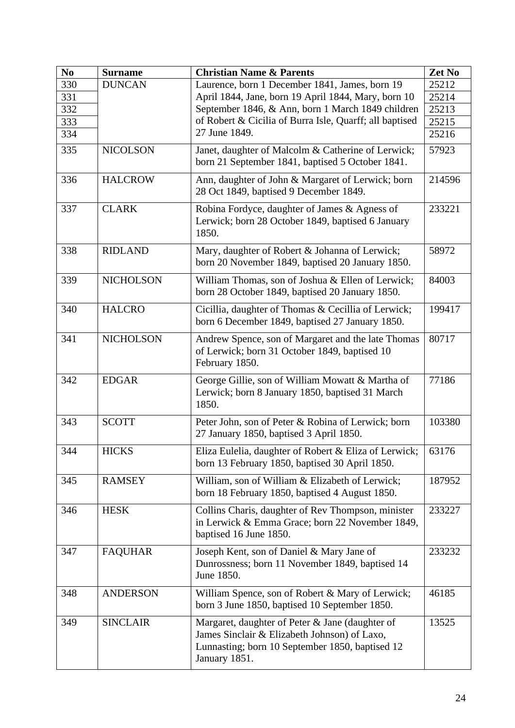| N <sub>0</sub> | <b>Surname</b>   | <b>Christian Name &amp; Parents</b>                                                                                                                                 | Zet No |
|----------------|------------------|---------------------------------------------------------------------------------------------------------------------------------------------------------------------|--------|
| 330            | <b>DUNCAN</b>    | Laurence, born 1 December 1841, James, born 19                                                                                                                      | 25212  |
| 331            |                  | April 1844, Jane, born 19 April 1844, Mary, born 10                                                                                                                 | 25214  |
| 332            |                  | September 1846, & Ann, born 1 March 1849 children                                                                                                                   | 25213  |
| 333            |                  | of Robert & Cicilia of Burra Isle, Quarff; all baptised                                                                                                             | 25215  |
| 334            |                  | 27 June 1849.                                                                                                                                                       | 25216  |
| 335            | <b>NICOLSON</b>  | Janet, daughter of Malcolm & Catherine of Lerwick;<br>born 21 September 1841, baptised 5 October 1841.                                                              | 57923  |
| 336            | <b>HALCROW</b>   | Ann, daughter of John & Margaret of Lerwick; born<br>28 Oct 1849, baptised 9 December 1849.                                                                         | 214596 |
| 337            | <b>CLARK</b>     | Robina Fordyce, daughter of James & Agness of<br>Lerwick; born 28 October 1849, baptised 6 January<br>1850.                                                         | 233221 |
| 338            | <b>RIDLAND</b>   | Mary, daughter of Robert & Johanna of Lerwick;<br>born 20 November 1849, baptised 20 January 1850.                                                                  | 58972  |
| 339            | <b>NICHOLSON</b> | William Thomas, son of Joshua & Ellen of Lerwick;<br>born 28 October 1849, baptised 20 January 1850.                                                                | 84003  |
| 340            | <b>HALCRO</b>    | Cicillia, daughter of Thomas & Cecillia of Lerwick;<br>born 6 December 1849, baptised 27 January 1850.                                                              | 199417 |
| 341            | <b>NICHOLSON</b> | Andrew Spence, son of Margaret and the late Thomas<br>of Lerwick; born 31 October 1849, baptised 10<br>February 1850.                                               | 80717  |
| 342            | <b>EDGAR</b>     | George Gillie, son of William Mowatt & Martha of<br>Lerwick; born 8 January 1850, baptised 31 March<br>1850.                                                        | 77186  |
| 343            | <b>SCOTT</b>     | Peter John, son of Peter & Robina of Lerwick; born<br>27 January 1850, baptised 3 April 1850.                                                                       | 103380 |
| 344            | <b>HICKS</b>     | Eliza Eulelia, daughter of Robert & Eliza of Lerwick;<br>born 13 February 1850, baptised 30 April 1850.                                                             | 63176  |
| 345            | <b>RAMSEY</b>    | William, son of William & Elizabeth of Lerwick;<br>born 18 February 1850, baptised 4 August 1850.                                                                   | 187952 |
| 346            | <b>HESK</b>      | Collins Charis, daughter of Rev Thompson, minister<br>in Lerwick & Emma Grace; born 22 November 1849,<br>baptised 16 June 1850.                                     | 233227 |
| 347            | <b>FAQUHAR</b>   | Joseph Kent, son of Daniel & Mary Jane of<br>Dunrossness; born 11 November 1849, baptised 14<br>June 1850.                                                          | 233232 |
| 348            | <b>ANDERSON</b>  | William Spence, son of Robert & Mary of Lerwick;<br>born 3 June 1850, baptised 10 September 1850.                                                                   | 46185  |
| 349            | <b>SINCLAIR</b>  | Margaret, daughter of Peter & Jane (daughter of<br>James Sinclair & Elizabeth Johnson) of Laxo,<br>Lunnasting; born 10 September 1850, baptised 12<br>January 1851. | 13525  |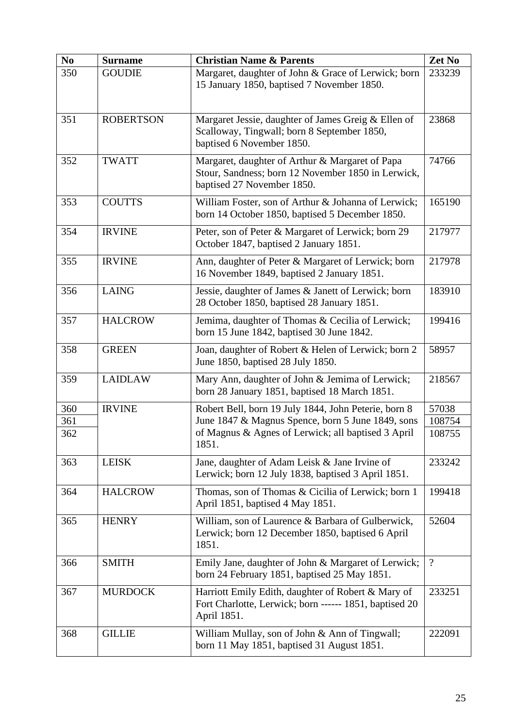| N <sub>0</sub> | <b>Surname</b>   | <b>Christian Name &amp; Parents</b>                                                                                                                                      | Zet No   |
|----------------|------------------|--------------------------------------------------------------------------------------------------------------------------------------------------------------------------|----------|
| 350            | <b>GOUDIE</b>    | Margaret, daughter of John & Grace of Lerwick; born<br>15 January 1850, baptised 7 November 1850.                                                                        | 233239   |
| 351            | <b>ROBERTSON</b> | Margaret Jessie, daughter of James Greig & Ellen of<br>Scalloway, Tingwall; born 8 September 1850,<br>baptised 6 November 1850.                                          | 23868    |
| 352            | <b>TWATT</b>     | Margaret, daughter of Arthur & Margaret of Papa<br>Stour, Sandness; born 12 November 1850 in Lerwick,<br>baptised 27 November 1850.                                      | 74766    |
| 353            | <b>COUTTS</b>    | William Foster, son of Arthur & Johanna of Lerwick;<br>born 14 October 1850, baptised 5 December 1850.                                                                   | 165190   |
| 354            | <b>IRVINE</b>    | Peter, son of Peter & Margaret of Lerwick; born 29<br>October 1847, baptised 2 January 1851.                                                                             | 217977   |
| 355            | <b>IRVINE</b>    | Ann, daughter of Peter & Margaret of Lerwick; born<br>16 November 1849, baptised 2 January 1851.                                                                         | 217978   |
| 356            | <b>LAING</b>     | Jessie, daughter of James & Janett of Lerwick; born<br>28 October 1850, baptised 28 January 1851.                                                                        | 183910   |
| 357            | <b>HALCROW</b>   | Jemima, daughter of Thomas & Cecilia of Lerwick;<br>born 15 June 1842, baptised 30 June 1842.                                                                            | 199416   |
| 358            | <b>GREEN</b>     | Joan, daughter of Robert & Helen of Lerwick; born 2<br>June 1850, baptised 28 July 1850.                                                                                 | 58957    |
| 359            | <b>LAIDLAW</b>   | Mary Ann, daughter of John & Jemima of Lerwick;<br>born 28 January 1851, baptised 18 March 1851.                                                                         | 218567   |
| 360            | <b>IRVINE</b>    | Robert Bell, born 19 July 1844, John Peterie, born 8<br>June 1847 & Magnus Spence, born 5 June 1849, sons<br>of Magnus & Agnes of Lerwick; all baptised 3 April<br>1851. | 57038    |
| 361            |                  |                                                                                                                                                                          | 108754   |
| 362            |                  |                                                                                                                                                                          | 108755   |
| 363            | <b>LEISK</b>     | Jane, daughter of Adam Leisk & Jane Irvine of<br>Lerwick; born 12 July 1838, baptised 3 April 1851.                                                                      | 233242   |
| 364            | <b>HALCROW</b>   | Thomas, son of Thomas & Cicilia of Lerwick; born 1<br>April 1851, baptised 4 May 1851.                                                                                   | 199418   |
| 365            | <b>HENRY</b>     | William, son of Laurence & Barbara of Gulberwick,<br>Lerwick; born 12 December 1850, baptised 6 April<br>1851.                                                           | 52604    |
| 366            | <b>SMITH</b>     | Emily Jane, daughter of John & Margaret of Lerwick;<br>born 24 February 1851, baptised 25 May 1851.                                                                      | $\gamma$ |
| 367            | <b>MURDOCK</b>   | Harriott Emily Edith, daughter of Robert & Mary of<br>Fort Charlotte, Lerwick; born ------ 1851, baptised 20<br>April 1851.                                              | 233251   |
| 368            | <b>GILLIE</b>    | William Mullay, son of John & Ann of Tingwall;<br>born 11 May 1851, baptised 31 August 1851.                                                                             | 222091   |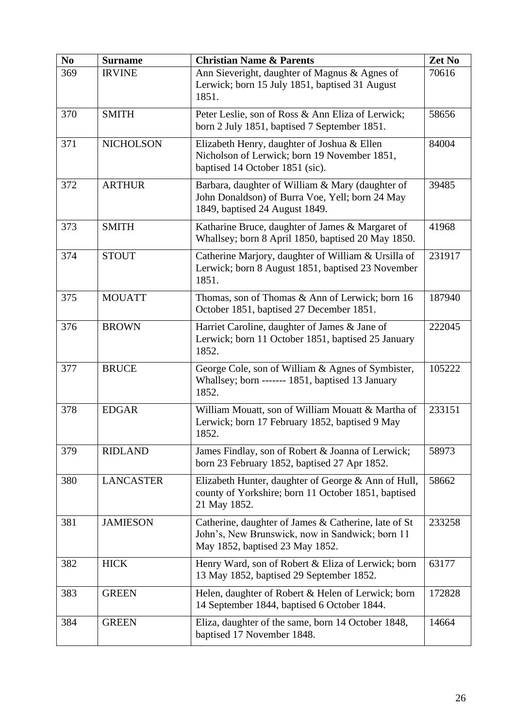| N <sub>0</sub> | <b>Surname</b>   | <b>Christian Name &amp; Parents</b>                                                                                                        | Zet No |
|----------------|------------------|--------------------------------------------------------------------------------------------------------------------------------------------|--------|
| 369            | <b>IRVINE</b>    | Ann Sieveright, daughter of Magnus & Agnes of<br>Lerwick; born 15 July 1851, baptised 31 August<br>1851.                                   | 70616  |
| 370            | <b>SMITH</b>     | Peter Leslie, son of Ross & Ann Eliza of Lerwick;<br>born 2 July 1851, baptised 7 September 1851.                                          | 58656  |
| 371            | <b>NICHOLSON</b> | Elizabeth Henry, daughter of Joshua & Ellen<br>Nicholson of Lerwick; born 19 November 1851,<br>baptised 14 October 1851 (sic).             | 84004  |
| 372            | <b>ARTHUR</b>    | Barbara, daughter of William & Mary (daughter of<br>John Donaldson) of Burra Voe, Yell; born 24 May<br>1849, baptised 24 August 1849.      | 39485  |
| 373            | <b>SMITH</b>     | Katharine Bruce, daughter of James & Margaret of<br>Whallsey; born 8 April 1850, baptised 20 May 1850.                                     | 41968  |
| 374            | <b>STOUT</b>     | Catherine Marjory, daughter of William & Ursilla of<br>Lerwick; born 8 August 1851, baptised 23 November<br>1851.                          | 231917 |
| 375            | <b>MOUATT</b>    | Thomas, son of Thomas & Ann of Lerwick; born 16<br>October 1851, baptised 27 December 1851.                                                | 187940 |
| 376            | <b>BROWN</b>     | Harriet Caroline, daughter of James & Jane of<br>Lerwick; born 11 October 1851, baptised 25 January<br>1852.                               | 222045 |
| 377            | <b>BRUCE</b>     | George Cole, son of William & Agnes of Symbister,<br>Whallsey; born ------- 1851, baptised 13 January<br>1852.                             | 105222 |
| 378            | <b>EDGAR</b>     | William Mouatt, son of William Mouatt & Martha of<br>Lerwick; born 17 February 1852, baptised 9 May<br>1852.                               | 233151 |
| 379            | <b>RIDLAND</b>   | James Findlay, son of Robert & Joanna of Lerwick;<br>born 23 February 1852, baptised 27 Apr 1852.                                          | 58973  |
| 380            | <b>LANCASTER</b> | Elizabeth Hunter, daughter of George & Ann of Hull,<br>county of Yorkshire; born 11 October 1851, baptised<br>21 May 1852.                 | 58662  |
| 381            | <b>JAMIESON</b>  | Catherine, daughter of James & Catherine, late of St<br>John's, New Brunswick, now in Sandwick; born 11<br>May 1852, baptised 23 May 1852. | 233258 |
| 382            | <b>HICK</b>      | Henry Ward, son of Robert & Eliza of Lerwick; born<br>13 May 1852, baptised 29 September 1852.                                             | 63177  |
| 383            | <b>GREEN</b>     | Helen, daughter of Robert & Helen of Lerwick; born<br>14 September 1844, baptised 6 October 1844.                                          | 172828 |
| 384            | <b>GREEN</b>     | Eliza, daughter of the same, born 14 October 1848,<br>baptised 17 November 1848.                                                           | 14664  |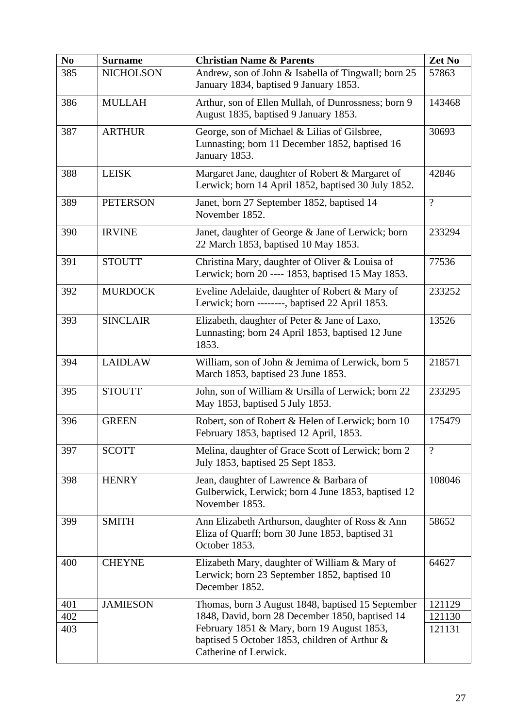| N <sub>0</sub> | <b>Surname</b>   | <b>Christian Name &amp; Parents</b>                                                                                  | Zet No   |
|----------------|------------------|----------------------------------------------------------------------------------------------------------------------|----------|
| 385            | <b>NICHOLSON</b> | Andrew, son of John & Isabella of Tingwall; born 25<br>January 1834, baptised 9 January 1853.                        | 57863    |
| 386            | <b>MULLAH</b>    | Arthur, son of Ellen Mullah, of Dunrossness; born 9<br>August 1835, baptised 9 January 1853.                         | 143468   |
| 387            | <b>ARTHUR</b>    | George, son of Michael & Lilias of Gilsbree,<br>Lunnasting; born 11 December 1852, baptised 16<br>January 1853.      | 30693    |
| 388            | <b>LEISK</b>     | Margaret Jane, daughter of Robert & Margaret of<br>Lerwick; born 14 April 1852, baptised 30 July 1852.               | 42846    |
| 389            | <b>PETERSON</b>  | Janet, born 27 September 1852, baptised 14<br>November 1852.                                                         | $\gamma$ |
| 390            | <b>IRVINE</b>    | Janet, daughter of George & Jane of Lerwick; born<br>22 March 1853, baptised 10 May 1853.                            | 233294   |
| 391            | <b>STOUTT</b>    | Christina Mary, daughter of Oliver & Louisa of<br>Lerwick; born 20 ---- 1853, baptised 15 May 1853.                  | 77536    |
| 392            | <b>MURDOCK</b>   | Eveline Adelaide, daughter of Robert & Mary of<br>Lerwick; born --------, baptised 22 April 1853.                    | 233252   |
| 393            | <b>SINCLAIR</b>  | Elizabeth, daughter of Peter & Jane of Laxo,<br>Lunnasting; born 24 April 1853, baptised 12 June<br>1853.            | 13526    |
| 394            | <b>LAIDLAW</b>   | William, son of John & Jemima of Lerwick, born 5<br>March 1853, baptised 23 June 1853.                               | 218571   |
| 395            | <b>STOUTT</b>    | John, son of William & Ursilla of Lerwick; born 22<br>May 1853, baptised 5 July 1853.                                | 233295   |
| 396            | <b>GREEN</b>     | Robert, son of Robert & Helen of Lerwick; born 10<br>February 1853, baptised 12 April, 1853.                         | 175479   |
| 397            | <b>SCOTT</b>     | Melina, daughter of Grace Scott of Lerwick; born 2<br>July 1853, baptised 25 Sept 1853.                              | $\gamma$ |
| 398            | <b>HENRY</b>     | Jean, daughter of Lawrence & Barbara of<br>Gulberwick, Lerwick; born 4 June 1853, baptised 12<br>November 1853.      | 108046   |
| 399            | <b>SMITH</b>     | Ann Elizabeth Arthurson, daughter of Ross & Ann<br>Eliza of Quarff; born 30 June 1853, baptised 31<br>October 1853.  | 58652    |
| 400            | <b>CHEYNE</b>    | Elizabeth Mary, daughter of William & Mary of<br>Lerwick; born 23 September 1852, baptised 10<br>December 1852.      | 64627    |
| 401            | <b>JAMIESON</b>  | Thomas, born 3 August 1848, baptised 15 September                                                                    | 121129   |
| 402            |                  | 1848, David, born 28 December 1850, baptised 14                                                                      | 121130   |
| 403            |                  | February 1851 & Mary, born 19 August 1853,<br>baptised 5 October 1853, children of Arthur &<br>Catherine of Lerwick. | 121131   |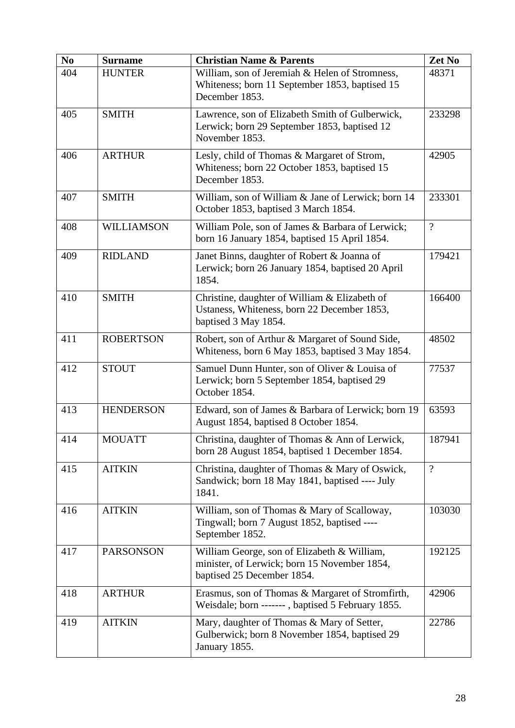| N <sub>0</sub> | <b>Surname</b>    | <b>Christian Name &amp; Parents</b>                                                                                       | Zet No   |
|----------------|-------------------|---------------------------------------------------------------------------------------------------------------------------|----------|
| 404            | <b>HUNTER</b>     | William, son of Jeremiah & Helen of Stromness,<br>Whiteness; born 11 September 1853, baptised 15<br>December 1853.        | 48371    |
| 405            | <b>SMITH</b>      | Lawrence, son of Elizabeth Smith of Gulberwick,<br>Lerwick; born 29 September 1853, baptised 12<br>November 1853.         | 233298   |
| 406            | <b>ARTHUR</b>     | Lesly, child of Thomas & Margaret of Strom,<br>Whiteness; born 22 October 1853, baptised 15<br>December 1853.             | 42905    |
| 407            | <b>SMITH</b>      | William, son of William & Jane of Lerwick; born 14<br>October 1853, baptised 3 March 1854.                                | 233301   |
| 408            | <b>WILLIAMSON</b> | William Pole, son of James & Barbara of Lerwick;<br>born 16 January 1854, baptised 15 April 1854.                         | $\gamma$ |
| 409            | <b>RIDLAND</b>    | Janet Binns, daughter of Robert & Joanna of<br>Lerwick; born 26 January 1854, baptised 20 April<br>1854.                  | 179421   |
| 410            | <b>SMITH</b>      | Christine, daughter of William & Elizabeth of<br>Ustaness, Whiteness, born 22 December 1853,<br>baptised 3 May 1854.      | 166400   |
| 411            | <b>ROBERTSON</b>  | Robert, son of Arthur & Margaret of Sound Side,<br>Whiteness, born 6 May 1853, baptised 3 May 1854.                       | 48502    |
| 412            | <b>STOUT</b>      | Samuel Dunn Hunter, son of Oliver & Louisa of<br>Lerwick; born 5 September 1854, baptised 29<br>October 1854.             | 77537    |
| 413            | <b>HENDERSON</b>  | Edward, son of James & Barbara of Lerwick; born 19<br>August 1854, baptised 8 October 1854.                               | 63593    |
| 414            | <b>MOUATT</b>     | Christina, daughter of Thomas & Ann of Lerwick,<br>born 28 August 1854, baptised 1 December 1854.                         | 187941   |
| 415            | <b>AITKIN</b>     | Christina, daughter of Thomas & Mary of Oswick,<br>Sandwick; born 18 May 1841, baptised ---- July<br>1841.                | $\gamma$ |
| 416            | <b>AITKIN</b>     | William, son of Thomas & Mary of Scalloway,<br>Tingwall; born 7 August 1852, baptised ----<br>September 1852.             | 103030   |
| 417            | <b>PARSONSON</b>  | William George, son of Elizabeth & William,<br>minister, of Lerwick; born 15 November 1854,<br>baptised 25 December 1854. | 192125   |
| 418            | <b>ARTHUR</b>     | Erasmus, son of Thomas & Margaret of Stromfirth,<br>Weisdale; born -------, baptised 5 February 1855.                     | 42906    |
| 419            | <b>AITKIN</b>     | Mary, daughter of Thomas & Mary of Setter,<br>Gulberwick; born 8 November 1854, baptised 29<br>January 1855.              | 22786    |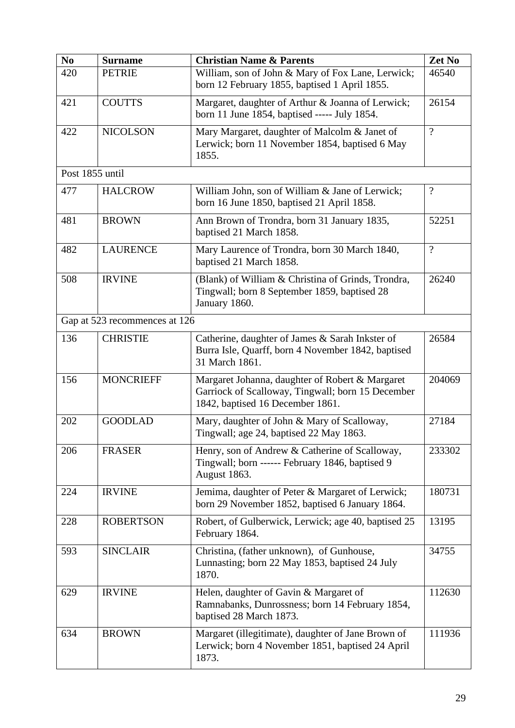| N <sub>0</sub>  | <b>Surname</b>                | <b>Christian Name &amp; Parents</b>                                                                                                      | Zet No         |
|-----------------|-------------------------------|------------------------------------------------------------------------------------------------------------------------------------------|----------------|
| 420             | <b>PETRIE</b>                 | William, son of John & Mary of Fox Lane, Lerwick;<br>born 12 February 1855, baptised 1 April 1855.                                       | 46540          |
| 421             | <b>COUTTS</b>                 | Margaret, daughter of Arthur & Joanna of Lerwick;<br>born 11 June 1854, baptised ----- July 1854.                                        | 26154          |
| 422             | <b>NICOLSON</b>               | Mary Margaret, daughter of Malcolm & Janet of<br>Lerwick; born 11 November 1854, baptised 6 May<br>1855.                                 | $\overline{?}$ |
| Post 1855 until |                               |                                                                                                                                          |                |
| 477             | <b>HALCROW</b>                | William John, son of William & Jane of Lerwick;<br>born 16 June 1850, baptised 21 April 1858.                                            | $\gamma$       |
| 481             | <b>BROWN</b>                  | Ann Brown of Trondra, born 31 January 1835,<br>baptised 21 March 1858.                                                                   | 52251          |
| 482             | <b>LAURENCE</b>               | Mary Laurence of Trondra, born 30 March 1840,<br>baptised 21 March 1858.                                                                 | $\gamma$       |
| 508             | <b>IRVINE</b>                 | (Blank) of William & Christina of Grinds, Trondra,<br>Tingwall; born 8 September 1859, baptised 28<br>January 1860.                      | 26240          |
|                 | Gap at 523 recommences at 126 |                                                                                                                                          |                |
| 136             | <b>CHRISTIE</b>               | Catherine, daughter of James & Sarah Inkster of<br>Burra Isle, Quarff, born 4 November 1842, baptised<br>31 March 1861.                  | 26584          |
| 156             | <b>MONCRIEFF</b>              | Margaret Johanna, daughter of Robert & Margaret<br>Garriock of Scalloway, Tingwall; born 15 December<br>1842, baptised 16 December 1861. | 204069         |
| 202             | <b>GOODLAD</b>                | Mary, daughter of John & Mary of Scalloway,<br>Tingwall; age 24, baptised 22 May 1863.                                                   | 27184          |
| 206             | <b>FRASER</b>                 | Henry, son of Andrew & Catherine of Scalloway,<br>Tingwall; born ------ February 1846, baptised 9<br>August 1863.                        | 233302         |
| 224             | <b>IRVINE</b>                 | Jemima, daughter of Peter & Margaret of Lerwick;<br>born 29 November 1852, baptised 6 January 1864.                                      | 180731         |
| 228             | <b>ROBERTSON</b>              | Robert, of Gulberwick, Lerwick; age 40, baptised 25<br>February 1864.                                                                    | 13195          |
| 593             | <b>SINCLAIR</b>               | Christina, (father unknown), of Gunhouse,<br>Lunnasting; born 22 May 1853, baptised 24 July<br>1870.                                     | 34755          |
| 629             | <b>IRVINE</b>                 | Helen, daughter of Gavin & Margaret of<br>Ramnabanks, Dunrossness; born 14 February 1854,<br>baptised 28 March 1873.                     | 112630         |
| 634             | <b>BROWN</b>                  | Margaret (illegitimate), daughter of Jane Brown of<br>Lerwick; born 4 November 1851, baptised 24 April<br>1873.                          | 111936         |